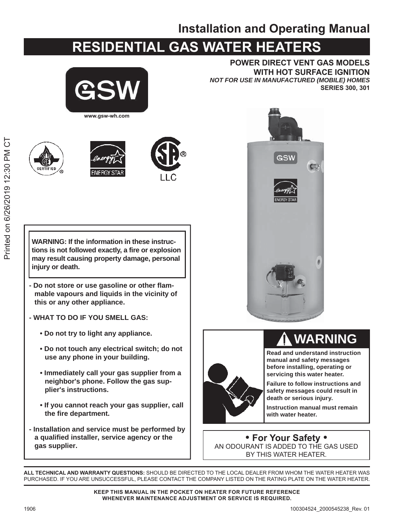### **Installation and Operating Manual**

### **RESIDENTIAL GAS WATER HEATERS**



**POWER DIRECT VENT GAS MODELS WITH HOT SURFACE IGNITION NOT FOR USE IN MANUFACTURED (MOBILE) HOMES SERIES 300, 301** 









**WARNING: If the information in these instruc**tions is not followed exactly, a fire or explosion may result causing property damage, personal injury or death.

- Do not store or use gasoline or other flammable vapours and liquids in the vicinity of this or any other appliance.
- WHAT TO DO IF YOU SMELL GAS:
	- Do not try to light any appliance.
	- . Do not touch any electrical switch; do not use any phone in your building.
	- Immediately call your gas supplier from a neighbor's phone. Follow the gas supplier's instructions.
	- . If you cannot reach your gas supplier, call the fire department.
- Installation and service must be performed by a qualified installer, service agency or the gas supplier.





**WARNING** 

**Read and understand instruction** manual and safety messages before installing, operating or servicing this water heater.

**Failure to follow instructions and** safety messages could result in death or serious injury.

Instruction manual must remain with water heater.

• For Your Safety • AN ODOURANT IS ADDED TO THE GAS USED BY THIS WATER HEATER.

ALL TECHNICAL AND WARRANTY QUESTIONS: SHOULD BE DIRECTED TO THE LOCAL DEALER FROM WHOM THE WATER HEATER WAS PURCHASED. IF YOU ARE UNSUCCESSFUL, PLEASE CONTACT THE COMPANY LISTED ON THE RATING PLATE ON THE WATER HEATER.

> KEEP THIS MANUAL IN THE POCKET ON HEATER FOR FUTURE REFERENCE WHENEVER MAINTENANCE ADJUSTMENT OR SERVICE IS REQUIRED.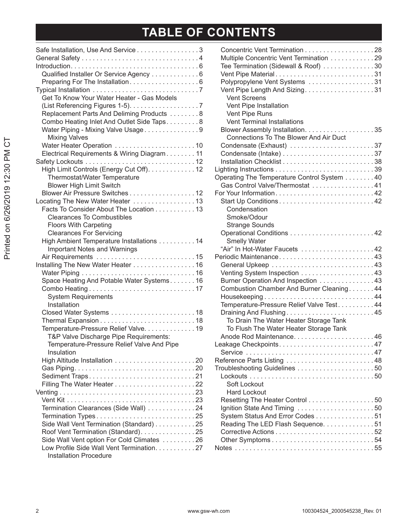## TABLE OF CONTENTS

| Safe Installation, Use And Service 3<br>Qualified Installer Or Service Agency 6<br>Preparing For The Installation 6<br>Get To Know Your Water Heater - Gas Models                                                                                                             |  |
|-------------------------------------------------------------------------------------------------------------------------------------------------------------------------------------------------------------------------------------------------------------------------------|--|
| Replacement Parts And Deliming Products 8<br>Combo Heating Inlet And Outlet Side Taps8<br>Water Piping - Mixing Valve Usage9<br><b>Mixing Valves</b>                                                                                                                          |  |
| Electrical Requirements & Wiring Diagram 11<br>High Limit Controls (Energy Cut Off). 12<br>Thermostat/Water Temperature                                                                                                                                                       |  |
| <b>Blower High Limit Switch</b><br>Blower Air Pressure Switches 12<br>Locating The New Water Heater 13<br>Facts To Consider About The Location 13<br><b>Clearances To Combustibles</b><br><b>Floors With Carpeting</b>                                                        |  |
| <b>Clearances For Servicing</b><br>High Ambient Temperature Installations 14<br><b>Important Notes and Warnings</b>                                                                                                                                                           |  |
| Installing The New Water Heater 16<br>Space Heating And Potable Water Systems 16<br><b>System Requirements</b><br>Installation                                                                                                                                                |  |
| Temperature-Pressure Relief Valve. 19<br>T&P Valve Discharge Pipe Requirements:<br>Temperature-Pressure Relief Valve And Pipe<br>Insulation                                                                                                                                   |  |
| Sediment Traps21                                                                                                                                                                                                                                                              |  |
| Termination Clearances (Side Wall) 24<br>Termination Types25<br>Side Wall Vent Termination (Standard) 25<br>Roof Vent Termination (Standard). 25<br>Side Wall Vent option For Cold Climates 26<br>Low Profile Side Wall Vent Termination. 27<br><b>Installation Procedure</b> |  |

| Concentric Vent Termination 28<br>Multiple Concentric Vent Termination 29<br>Tee Termination (Sidewall & Roof) 30<br>Vent Pipe Material31<br>Polypropylene Vent Systems 31<br>Vent Pipe Length And Sizing. 31<br><b>Vent Screens</b><br>Vent Pipe Installation                                                                                                                                               |  |
|--------------------------------------------------------------------------------------------------------------------------------------------------------------------------------------------------------------------------------------------------------------------------------------------------------------------------------------------------------------------------------------------------------------|--|
| Vent Pipe Runs<br><b>Vent Terminal Installations</b><br><b>Connections To The Blower And Air Duct</b><br>Condensate (Exhaust) 37<br>Operating The Temperature Control System 40<br>Gas Control Valve/Thermostat 41<br>Condensation<br>Smoke/Odour<br><b>Strange Sounds</b>                                                                                                                                   |  |
|                                                                                                                                                                                                                                                                                                                                                                                                              |  |
| <b>Smelly Water</b><br>"Air" In Hot-Water Faucets 42<br>Periodic Maintenance43<br>Burner Operation And Inspection 43<br>Combustion Chamber And Burner Cleaning44<br>Housekeeping $\ldots \ldots \ldots \ldots \ldots \ldots \ldots \ldots \ldots$<br>Temperature-Pressure Relief Valve Test44<br>Draining And Flushing45<br>To Drain The Water Heater Storage Tank<br>To Flush The Water Heater Storage Tank |  |
| Leakage Checkpoints47<br>Reference Parts Listing 48<br>Troubleshooting Guidelines 50<br>Soft Lockout<br><b>Hard Lockout</b>                                                                                                                                                                                                                                                                                  |  |
| Resetting The Heater Control 50<br>Ignition State And Timing 50<br>System Status And Error Codes 51<br>Reading The LED Flash Sequence. 51                                                                                                                                                                                                                                                                    |  |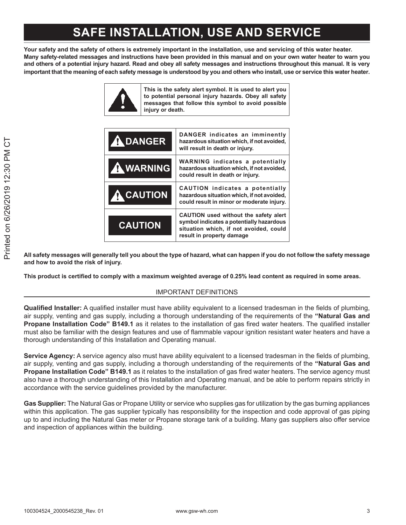### **SAFE INSTALLATION, USE AND SERVICE**

Your safety and the safety of others is extremely important in the installation, use and servicing of this water heater. Many safety-related messages and instructions have been provided in this manual and on your own water heater to warn you and others of a potential injury hazard. Read and obey all safety messages and instructions throughout this manual. It is very important that the meaning of each safety message is understood by you and others who install, use or service this water heater.



| <b>A DANGER</b>  | DANGER indicates an imminently<br>hazardous situation which, if not avoided,<br>will result in death or injury.                                          |
|------------------|----------------------------------------------------------------------------------------------------------------------------------------------------------|
| <b>A</b> WARNING | <b>WARNING indicates a potentially</b><br>hazardous situation which, if not avoided,<br>could result in death or injury.                                 |
| <b>A</b> CAUTION | <b>CAUTION</b> indicates a potentially<br>hazardous situation which, if not avoided,<br>could result in minor or moderate injury.                        |
| <b>CAUTION</b>   | CAUTION used without the safety alert<br>symbol indicates a potentially hazardous<br>situation which, if not avoided, could<br>result in property damage |

All safety messages will generally tell you about the type of hazard, what can happen if you do not follow the safety message and how to avoid the risk of injury.

This product is certified to comply with a maximum weighted average of 0.25% lead content as required in some areas.

#### IMPORTANT DEFINITIONS

**Qualified Installer:** A qualified installer must have ability equivalent to a licensed tradesman in the fields of plumbing, air supply, venting and gas supply, including a thorough understanding of the requirements of the "**Natural Gas and Propane Installation Code" B149.1** as it relates to the installation of gas fired water heaters. The qualified installer must also be familiar with the design features and use of flammable vapour ignition resistant water heaters and have a thorough understanding of this Installation and Operating manual.

**Service Agency:** A service agency also must have ability equivalent to a licensed tradesman in the fields of plumbing, air supply, venting and gas supply, including a thorough understanding of the requirements of the "**Natural Gas and Propane Installation Code" B149.1** as it relates to the installation of gas fired water heaters. The service agency must also have a thorough understanding of this Installation and Operating manual, and be able to perform repairs strictly in accordance with the service quidelines provided by the manufacturer.

Gas Supplier: The Natural Gas or Propane Utility or service who supplies gas for utilization by the gas burning appliances within this application. The gas supplier typically has responsibility for the inspection and code approval of gas piping up to and including the Natural Gas meter or Propane storage tank of a building. Many gas suppliers also offer service and inspection of appliances within the building.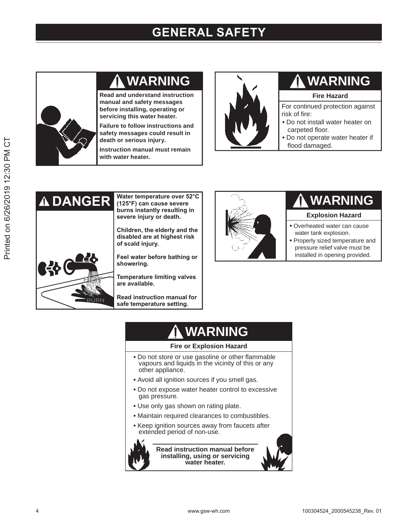### **GENERAL SAFETY**



### **WARNING**

**Read and understand instruction manual and safety messages before installing, operating or servicing this water heater.**

**Failure to follow instructions and safety messages could result in death or serious injury.**

**Instruction manual must remain with water heater.**



### **WARNING**

#### **Fire Hazard**

For continued protection against risk of fire:

- Do not install water heater on carpeted floor.
- Do not operate water heater if flood damaged.



**Water temperature over 52°C** (125°F) can cause severe **burns instantly resulting in** severe injury or death.

Children, the elderly and the disabled are at highest risk of scald injury.

**Feel water before bathing or** showering.

**Temperature limiting valves** are available.

**Read instruction manual for** safe temperature setting.



### **WARNING**

#### **Explosion Hazard**

- **•** Overheated water can cause water tank explosion.
- **•** Properly sized temperature and pressure relief valve must be installed in opening provided.

### **WARNING**

#### **Fire or Explosion Hazard**

- Do not store or use gasoline or other flammable vapours and liquids in the vicinity of this or any other appliance.
- Avoid all ignition sources if you smell gas.
- Do not expose water heater control to excessive gas pressure.
- Use only gas shown on rating plate.
- Maintain required clearances to combustibles.
- Keep ignition sources away from faucets after extended period of non-use.



**Read instruction manual before installing, using or servicing water heater.**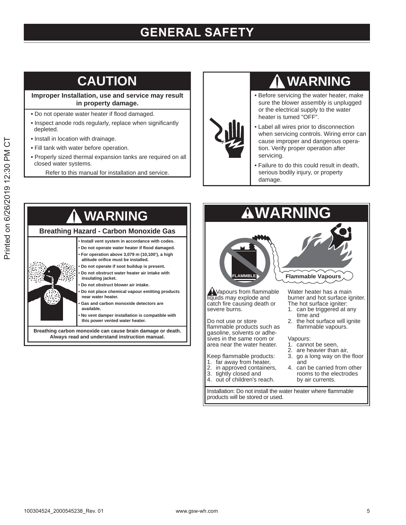### **GENERAL SAFETY**

### **CAUTION**

**Improper Installation, use and service may result in property damage.**

- Do not operate water heater if flood damaged.
- Inspect anode rods regularly, replace when significantly depleted.
- Install in location with drainage.
- Fill tank with water before operation.
- Properly sized thermal expansion tanks are required on all closed water systems.
	- Refer to this manual for installation and service.

### **WARNING**

- Before servicing the water heater, make sure the blower assembly is unplugged or the electrical supply to the water heater is tumed "OFF".
- Label all wires prior to disconnection when servicing controls. Wiring error can cause improper and dangerous operation. Verify proper operation after servicing.
- Failure to do this could result in death, serious bodily injury, or property damage.





Installation: Do not install the water heater where flammable products will be stored or used.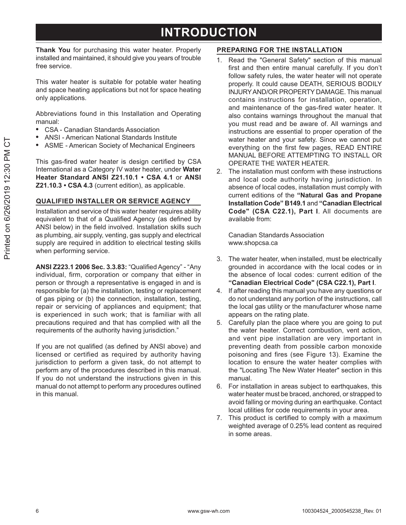### **INTRODUCTION**

Thank You for purchasing this water heater. Properly installed and maintained, it should give you years of trouble free service.

This water heater is suitable for potable water heating and space heating applications but not for space heating only applications.

Abbreviations found in this Installation and Operating manual:

- CSA Canadian Standards Association  $\bullet$
- **ANSI American National Standards Institute**
- **ASME American Society of Mechanical Engineers**

This gas-fired water heater is design certified by CSA International as a Category IV water heater, under Water Heater Standard ANSI Z21.10.1 . CSA 4.1 or ANSI Z21.10.3 • CSA 4.3 (current edition), as applicable.

#### **QUALIFIED INSTALLER OR SERVICE AGENCY**

Installation and service of this water heater requires ability equivalent to that of a Qualified Agency (as defined by ANSI below) in the field involved. Installation skills such as plumbing, air supply, venting, gas supply and electrical supply are required in addition to electrical testing skills when performing service.

ANSI Z223.1 2006 Sec. 3.3.83: "Qualified Agency" - "Any individual, firm, corporation or company that either in person or through a representative is engaged in and is responsible for (a) the installation, testing or replacement of gas piping or (b) the connection, installation, testing, repair or servicing of appliances and equipment; that is experienced in such work; that is familiar with all precautions required and that has complied with all the requirements of the authority having jurisdiction."

If you are not qualified (as defined by ANSI above) and licensed or certified as required by authority having jurisdiction to perform a given task, do not attempt to perform any of the procedures described in this manual. If you do not understand the instructions given in this manual do not attempt to perform any procedures outlined in this manual.

#### PREPARING FOR THE INSTALLATION

- 1. Read the "General Safety" section of this manual first and then entire manual carefully. If you don't follow safety rules, the water heater will not operate properly. It could cause DEATH, SERIOUS BODILY INJURY AND/OR PROPERTY DAMAGE. This manual contains instructions for installation, operation, and maintenance of the gas-fired water heater. It also contains warnings throughout the manual that you must read and be aware of. All warnings and instructions are essential to proper operation of the water heater and your safety. Since we cannot put everything on the first few pages, READ ENTIRE MANUAL BEFORE ATTEMPTING TO INSTALL OR OPFRATE THE WATER HEATER
- 2. The installation must conform with these instructions and local code authority having jurisdiction. In absence of local codes, installation must comply with current editions of the "Natural Gas and Propane Installation Code" B149.1 and "Canadian Electrical Code" (CSA C22.1), Part I. All documents are available from:

Canadian Standards Association www.shopcsa.ca

- 3. The water heater, when installed, must be electrically grounded in accordance with the local codes or in the absence of local codes: current edition of the "Canadian Electrical Code" (CSA C22.1), Part I.
- 4. If after reading this manual you have any questions or do not understand any portion of the instructions, call the local gas utility or the manufacturer whose name appears on the rating plate.
- Carefully plan the place where you are going to put  $5$ the water heater. Correct combustion, vent action, and vent pipe installation are very important in preventing death from possible carbon monoxide poisoning and fires (see Figure 13). Examine the location to ensure the water heater complies with the "Locating The New Water Heater" section in this manual.
- 6. For installation in areas subject to earthquakes, this water heater must be braced, anchored, or strapped to avoid falling or moving during an earthquake. Contact local utilities for code requirements in your area.
- 7. This product is certified to comply with a maximum weighted average of 0.25% lead content as required in some areas.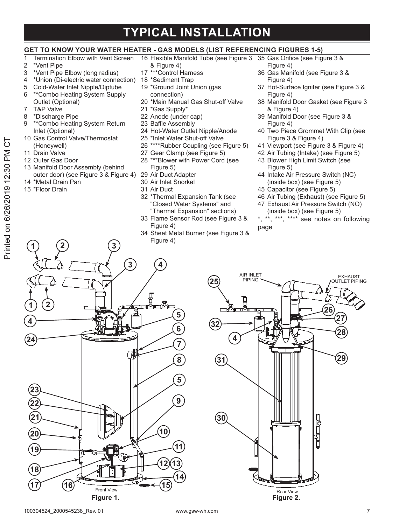### **TYPICAL INSTALLATION**

#### GET TO KNOW YOUR WATER HEATER - GAS MODELS (LIST REFERENCING FIGURES 1-5)

- $\overline{1}$ Termination Elbow with Vent Screen
- \*Vent Pipe  $\overline{2}$
- \*Vent Pipe Elbow (long radius) 3
- \*Union (Di-electric water connection) 18 \*Sediment Trap  $\overline{\mathcal{A}}$
- 5 Cold-Water Inlet Nipple/Diptube \*\* Combo Heating System Supply 6
- Outlet (Optional)  $\overline{7}$
- T&P Valve
- \*Discharge Pipe 8
- \*\*Combo Heating System Return  $\mathsf{Q}$ Inlet (Optional)
- 10 Gas Control Valve/Thermostat (Honeywell)
- 11 Drain Valve
- 12 Outer Gas Door
- 13 Manifold Door Assembly (behind outer door) (see Figure 3 & Figure 4)
- 14 \*Metal Drain Pan
- 15 \*Floor Drain
- & Figure 4)
- 17 \*\*\* Control Harness
- 
- 19 \*Ground Joint Union (gas connection)
- 20 \*Main Manual Gas Shut-off Valve
- 21 \*Gas Supply\*
- 22 Anode (under cap)
- 23 Baffle Assembly
- 24 Hot-Water Outlet Nipple/Anode
- 25 \*Inlet Water Shut-off Valve
- \*\*\*\*Rubber Coupling (see Figure 5) 26
- 27 Gear Clamp (see Figure 5)
- 28 \*\*\* Blower with Power Cord (see Figure 5)
- 29 Air Duct Adapter
- 30 Air Inlet Snorkel
- 31 Air Duct
- 32 \*Thermal Expansion Tank (see "Closed Water Systems" and "Thermal Expansion" sections)
- 33 Flame Sensor Rod (see Figure 3 & Figure 4)
- 34 Sheet Metal Burner (see Figure 3 & Figure 4)
- 16 Flexible Manifold Tube (see Figure 3 35 Gas Orifice (see Figure 3 & Figure 4)
	- 36 Gas Manifold (see Figure 3 & Figure 4)
	- 37 Hot-Surface Igniter (see Figure 3 & Figure 4)
	- 38 Manifold Door Gasket (see Figure 3 & Figure 4)
	- 39 Manifold Door (see Figure 3 & Figure 4)
	- 40 Two Piece Grommet With Clip (see Figure 3 & Figure 4)
	- 41 Viewport (see Figure 3 & Figure 4)
	- 42 Air Tubing (Intake) (see Figure 5)
	- 43 Blower High Limit Switch (see Figure 5)
	- 44 Intake Air Pressure Switch (NC) (inside box) (see Figure 5)
	- 45 Capacitor (see Figure 5)
	- 46 Air Tubing (Exhaust) (see Figure 5)
	- 47 Exhaust Air Pressure Switch (NO) (inside box) (see Figure 5)
	- \*\*, \*\*\*, \*\*\*\* see notes on following page



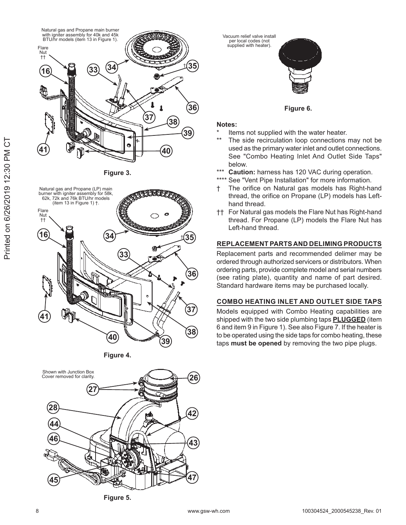

Figure 3.



Figure 4.



Figure 5.

Vacuum relief valve install per local codes (not<br>supplied with heater)



Figure 6.

#### Notes:

- Items not supplied with the water heater.
- The side recirculation loop connections may not be used as the primary water inlet and outlet connections. See "Combo Heating Inlet And Outlet Side Taps" below.
- \*\*\* Caution: harness has 120 VAC during operation.
- \*\*\*\* See "Vent Pipe Installation" for more information.
- The orifice on Natural gas models has Right-hand thread, the orifice on Propane (LP) models has Lefthand thread.
- †† For Natural gas models the Flare Nut has Right-hand thread. For Propane (LP) models the Flare Nut has Left-hand thread.

#### REPLACEMENT PARTS AND DELIMING PRODUCTS

Replacement parts and recommended delimer may be ordered through authorized servicers or distributors. When ordering parts, provide complete model and serial numbers (see rating plate), quantity and name of part desired. Standard hardware items may be purchased locally.

#### **COMBO HEATING INLET AND OUTLET SIDE TAPS**

Models equipped with Combo Heating capabilities are shipped with the two side plumbing taps **PLUGGED** (item 6 and item 9 in Figure 1). See also Figure 7. If the heater is to be operated using the side taps for combo heating, these taps must be opened by removing the two pipe plugs.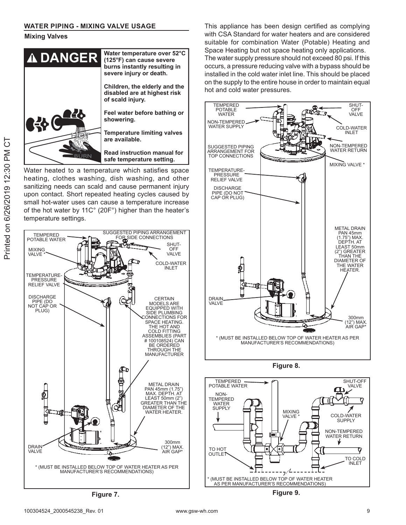#### **Mixing Valves**



Water heated to a temperature which satisfies space heating, clothes washing, dish washing, and other sanitizing needs can scald and cause permanent injury upon contact. Short repeated heating cycles caused by small hot-water uses can cause a temperature increase of the hot water by 11C° (20F°) higher than the heater's temperature settings.



Figure 7.

This appliance has been design certified as complying with CSA Standard for water heaters and are considered suitable for combination Water (Potable) Heating and Space Heating but not space heating only applications. The water supply pressure should not exceed 80 psi. If this occurs, a pressure reducing valve with a bypass should be installed in the cold water inlet line. This should be placed on the supply to the entire house in order to maintain equal hot and cold water pressures.



Figure 8.



Printed on 6/26/2019 12:30 PM CT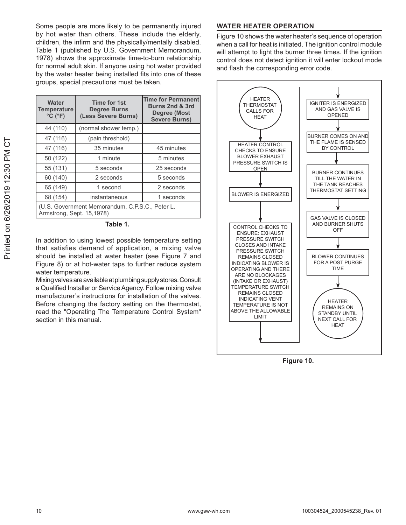Some people are more likely to be permanently injured by hot water than others. These include the elderly, children, the infirm and the physically/mentally disabled. Table 1 (published by U.S. Government Memorandum, 1978) shows the approximate time-to-burn relationship for normal adult skin. If anyone using hot water provided by the water heater being installed fits into one of these groups, special precautions must be taken.

| <b>Water</b><br>Temperature<br>$^{\circ}$ C ( $^{\circ}$ F)                  | <b>Time for 1st</b><br><b>Degree Burns</b><br>(Less Severe Burns) | <b>Time for Permanent</b><br>Burns 2nd & 3rd<br>Degree (Most<br><b>Severe Burns)</b> |  |  |  |  |  |
|------------------------------------------------------------------------------|-------------------------------------------------------------------|--------------------------------------------------------------------------------------|--|--|--|--|--|
| 44 (110)                                                                     | (normal shower temp.)                                             |                                                                                      |  |  |  |  |  |
| 47 (116)                                                                     | (pain threshold)                                                  |                                                                                      |  |  |  |  |  |
| 47 (116)                                                                     | 35 minutes                                                        | 45 minutes                                                                           |  |  |  |  |  |
| 50 (122)                                                                     | 1 minute                                                          | 5 minutes                                                                            |  |  |  |  |  |
| 55 (131)                                                                     | 5 seconds                                                         | 25 seconds                                                                           |  |  |  |  |  |
| 60 (140)                                                                     | 2 seconds                                                         | 5 seconds                                                                            |  |  |  |  |  |
| 65 (149)                                                                     | 1 second                                                          | 2 seconds                                                                            |  |  |  |  |  |
| 68 (154)<br>instantaneous                                                    |                                                                   | 1 seconds                                                                            |  |  |  |  |  |
| (U.S. Government Memorandum, C.P.S.C., Peter L.<br>Armstrong, Sept. 15,1978) |                                                                   |                                                                                      |  |  |  |  |  |

Table 1.

In addition to using lowest possible temperature setting that satisfies demand of application, a mixing valve should be installed at water heater (see Figure 7 and Figure 8) or at hot-water taps to further reduce system water temperature.

Mixing valves are available at plumbing supply stores. Consult a Qualified Installer or Service Agency. Follow mixing valve manufacturer's instructions for installation of the valves. Before changing the factory setting on the thermostat, read the "Operating The Temperature Control System" section in this manual.

#### **WATER HEATER OPERATION**

Figure 10 shows the water heater's sequence of operation when a call for heat is initiated. The ignition control module will attempt to light the burner three times. If the ignition control does not detect ignition it will enter lockout mode and flash the corresponding error code.



Figure 10.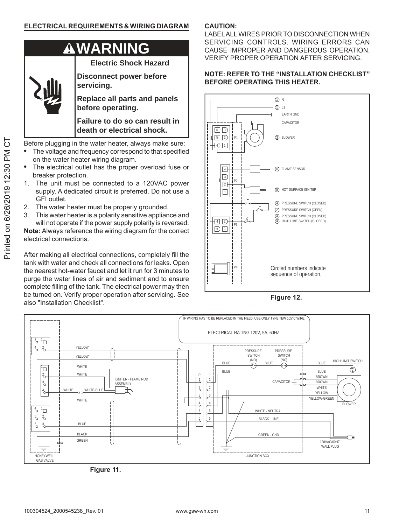

**WARNING**

**Electric Shock Hazard**

**Disconnect power before servicing.**

**Replace all parts and panels before operating.**

**Failure to do so can result in death or electrical shock.**

Before plugging in the water heater, always make sure:

- The voltage and frequency correspond to that specified on the water heater wiring diagram.
- The electrical outlet has the proper overload fuse or breaker protection.
- 1. The unit must be connected to a 120VAC power supply. A dedicated circuit is preferred. Do not use a GFI outlet.
- 2. The water heater must be properly grounded.
- 3. This water heater is a polarity sensitive appliance and will not operate if the power supply polarity is reversed.

**Note:** Always reference the wiring diagram for the correct electrical connections

After making all electrical connections, completely fill the tank with water and check all connections for leaks. Open the nearest hot-water faucet and let it run for 3 minutes to purge the water lines of air and sediment and to ensure complete filling of the tank. The electrical power may then be turned on. Verify proper operation after servicing. See also "Installation Checklist".

#### **CAUTION:**

LABEL ALL WIRES PRIOR TO DISCONNECTION WHEN SERVICING CONTROLS. WIRING ERRORS CAN CAUSE IMPROPER AND DANGEROUS OPERATION. VERIFY PROPER OPERATION AFTER SERVICING.

#### **NOTE: REFER TO THE "INSTALLATION CHECKLIST" BEFORE OPERATING THIS HEATER.**



**Figure 12.** 



Figure 11.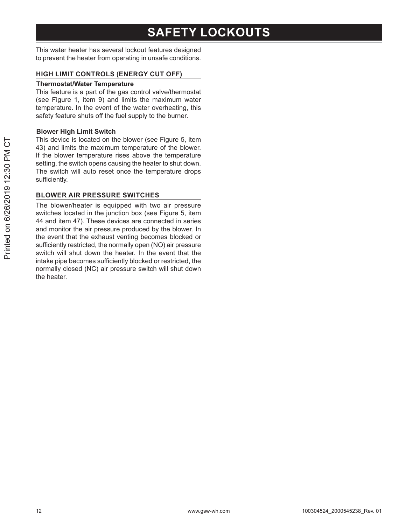### **SAFETY LOCKOUTS**

This water heater has several lockout features designed to prevent the heater from operating in unsafe conditions.

#### HIGH LIMIT CONTROLS (ENERGY CUT OFF)

#### **Thermostat/Water Temperature**

This feature is a part of the gas control valve/thermostat (see Figure 1, item 9) and limits the maximum water temperature. In the event of the water overheating, this safety feature shuts off the fuel supply to the burner.

#### **Blower High Limit Switch**

This device is located on the blower (see Figure 5, item 43) and limits the maximum temperature of the blower. If the blower temperature rises above the temperature setting, the switch opens causing the heater to shut down. The switch will auto reset once the temperature drops sufficiently.

#### **BLOWER AIR PRESSURE SWITCHES**

The blower/heater is equipped with two air pressure switches located in the junction box (see Figure 5, item 44 and item 47). These devices are connected in series and monitor the air pressure produced by the blower. In the event that the exhaust venting becomes blocked or sufficiently restricted, the normally open (NO) air pressure switch will shut down the heater. In the event that the intake pipe becomes sufficiently blocked or restricted, the normally closed (NC) air pressure switch will shut down the heater.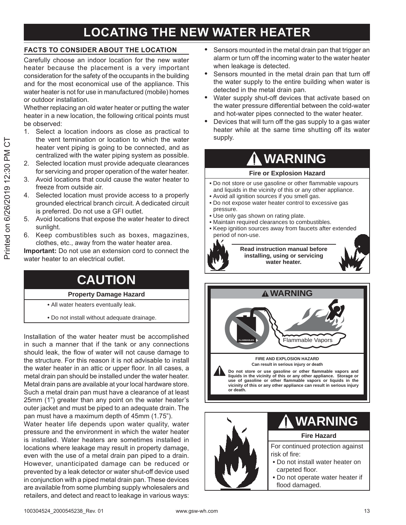### **LOCATING THE NEW WATER HEATER**

#### **FACTS TO CONSIDER ABOUT THE LOCATION**

Carefully choose an indoor location for the new water heater because the placement is a very important consideration for the safety of the occupants in the building and for the most economical use of the appliance. This water heater is not for use in manufactured (mobile) homes or outdoor installation.

Whether replacing an old water heater or putting the water heater in a new location, the following critical points must be observed:

- 1. Select a location indoors as close as practical to the vent termination or location to which the water heater vent piping is going to be connected, and as centralized with the water piping system as possible.
- $2.$ Selected location must provide adequate clearances for servicing and proper operation of the water heater.
- 3. Avoid locations that could cause the water heater to freeze from outside air.
- Selected location must provide access to a properly  $4.$ grounded electrical branch circuit. A dedicated circuit is preferred. Do not use a GFI outlet.
- 5. Avoid locations that expose the water heater to direct sunlight.
- 6. Keep combustibles such as boxes, magazines, clothes, etc., away from the water heater area.

Important: Do not use an extension cord to connect the water heater to an electrical outlet.

### **CAUTION**

#### **Property Damage Hazard**

- All water heaters eventually leak.
- . Do not install without adequate drainage.

Installation of the water heater must be accomplished in such a manner that if the tank or any connections should leak, the flow of water will not cause damage to the structure. For this reason it is not advisable to install the water heater in an attic or upper floor. In all cases, a metal drain pan should be installed under the water heater. Metal drain pans are available at your local hardware store. Such a metal drain pan must have a clearance of at least 25mm (1") greater than any point on the water heater's outer jacket and must be piped to an adequate drain. The pan must have a maximum depth of 45mm (1.75").

Water heater life depends upon water quality, water pressure and the environment in which the water heater is installed. Water heaters are sometimes installed in locations where leakage may result in property damage, even with the use of a metal drain pan piped to a drain. However, unanticipated damage can be reduced or prevented by a leak detector or water shut-off device used in conjunction with a piped metal drain pan. These devices are available from some plumbing supply wholesalers and retailers, and detect and react to leakage in various ways:

- Sensors mounted in the metal drain pan that trigger an alarm or turn off the incoming water to the water heater when leakage is detected.
- Sensors mounted in the metal drain pan that turn off the water supply to the entire building when water is detected in the metal drain pan.
- Water supply shut-off devices that activate based on the water pressure differential between the cold-water and hot-water pipes connected to the water heater.
- Devices that will turn off the gas supply to a gas water heater while at the same time shutting off its water supply.

### **WARNING**

#### **Fire or Explosion Hazard**

- . Do not store or use gasoline or other flammable vapours and liquids in the vicinity of this or any other appliance.
- . Avoid all ignition sources if you smell gas.
- . Do not expose water heater control to excessive gas pressure.
- . Use only gas shown on rating plate.
- · Maintain required clearances to combustibles.
- Keep ignition sources away from faucets after extended period of non-use.



Read instruction manual before installing, using or servicing water heater.



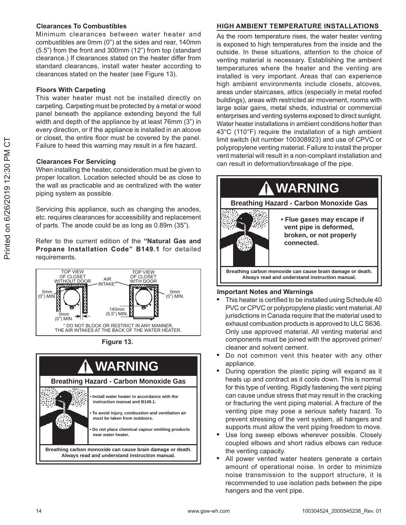#### **Clearances To Combustibles**

Minimum clearances between water heater and combustibles are 0mm (0") at the sides and rear, 140mm (5.5") from the front and 300mm (12") from top (standard clearance.) If clearances stated on the heater differ from standard clearances, install water heater according to clearances stated on the heater (see Figure 13).

#### **Floors With Carpeting**

This water heater must not be installed directly on carpeting. Carpeting must be protected by a metal or wood panel beneath the appliance extending beyond the full width and depth of the appliance by at least 76mm (3") in every direction, or if the appliance is installed in an alcove or closet, the entire floor must be covered by the panel. Failure to heed this warning may result in a fire hazard.

#### **Clearances For Servicing**

When installing the heater, consideration must be given to proper location. Location selected should be as close to the wall as practicable and as centralized with the water piping system as possible.

Servicing this appliance, such as changing the anodes, etc. requires clearances for accessibility and replacement of parts. The anode could be as long as 0.89m (35").

Refer to the current edition of the "Natural Gas and Propane Installation Code" B149.1 for detailed requirements.



Figure 13.



#### HIGH AMBIENT TEMPERATURE INSTALLATIONS

As the room temperature rises, the water heater venting is exposed to high temperatures from the inside and the outside. In these situations, attention to the choice of venting material is necessary. Establishing the ambient temperatures where the heater and the venting are installed is very important. Areas that can experience high ambient environments include closets, alcoves, areas under staircases, attics (especially in metal roofed buildings), areas with restricted air movement, rooms with large solar gains, metal sheds, industrial or commercial enterprises and venting systems exposed to direct sunlight. Water heater installations in ambient conditions hotter than 43°C (110°F) require the installation of a high ambient limit switch (kit number 100308923) and use of CPVC or polypropylene venting material. Failure to install the proper vent material will result in a non-compliant installation and can result in deformation/breakage of the pipe.



#### **Important Notes and Warnings**

- This heater is certified to be installed using Schedule 40 PVC or CPVC or polypropylene plastic vent material. All jurisdictions in Canada require that the material used to exhaust combustion products is approved to ULC S636. Only use approved material. All venting material and components must be joined with the approved primer/ cleaner and solvent cement.
- Do not common vent this heater with any other appliance.
- During operation the plastic piping will expand as it heats up and contract as it cools down. This is normal for this type of venting. Rigidly fastening the vent piping can cause undue stress that may result in the cracking or fracturing the vent piping material. A fracture of the venting pipe may pose a serious safety hazard. To prevent stressing of the vent system, all hangers and supports must allow the vent piping freedom to move.
- Use long sweep elbows wherever possible. Closely coupled elbows and short radius elbows can reduce the venting capacity.
- All power vented water heaters generate a certain amount of operational noise. In order to minimize noise transmission to the support structure, it is recommended to use isolation pads between the pipe hangers and the vent pipe.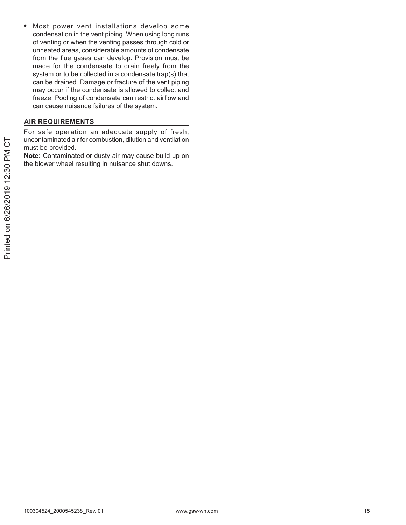Most power vent installations develop some  $\bullet$ condensation in the vent piping. When using long runs of venting or when the venting passes through cold or unheated areas, considerable amounts of condensate from the flue gases can develop. Provision must be made for the condensate to drain freely from the system or to be collected in a condensate trap(s) that can be drained. Damage or fracture of the vent piping may occur if the condensate is allowed to collect and freeze. Pooling of condensate can restrict airflow and can cause nuisance failures of the system.

#### **AIR REQUIREMENTS**

For safe operation an adequate supply of fresh, uncontaminated air for combustion, dilution and ventilation must be provided.

Note: Contaminated or dusty air may cause build-up on the blower wheel resulting in nuisance shut downs.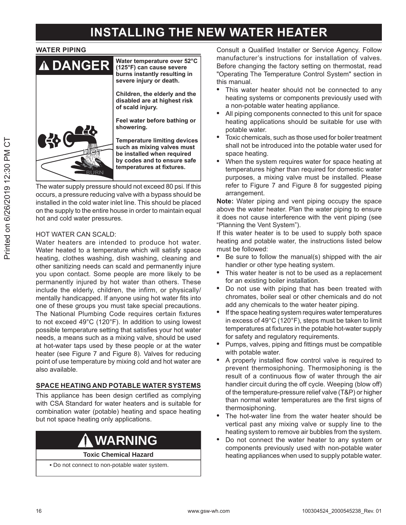### **INSTALLING THE NEW WATER HEATER**

#### **WATER PIPING**



The water supply pressure should not exceed 80 psi. If this occurs, a pressure reducing valve with a bypass should be installed in the cold water inlet line. This should be placed on the supply to the entire house in order to maintain equal hot and cold water pressures.

#### **HOT WATER CAN SCALD:**

Water heaters are intended to produce hot water. Water heated to a temperature which will satisfy space heating, clothes washing, dish washing, cleaning and other sanitizing needs can scald and permanently injure you upon contact. Some people are more likely to be permanently injured by hot water than others. These include the elderly, children, the infirm, or physically/ mentally handicapped. If anyone using hot water fits into one of these groups you must take special precautions. The National Plumbing Code requires certain fixtures to not exceed 49°C (120°F). In addition to using lowest possible temperature setting that satisfies your hot water needs, a means such as a mixing valve, should be used at hot-water taps used by these people or at the water heater (see Figure 7 and Figure 8). Valves for reducing point of use temperature by mixing cold and hot water are also available.

#### SPACE HEATING AND POTABLE WATER SYSTEMS

This appliance has been design certified as complying with CSA Standard for water heaters and is suitable for combination water (potable) heating and space heating but not space heating only applications.

### **WARNING**

**Toxic Chemical Hazard** 

. Do not connect to non-potable water system.

Consult a Qualified Installer or Service Agency. Follow manufacturer's instructions for installation of valves. Before changing the factory setting on thermostat, read "Operating The Temperature Control System" section in this manual.

- This water heater should not be connected to any heating systems or components previously used with a non-potable water heating appliance.
- All piping components connected to this unit for space heating applications should be suitable for use with potable water.
- Toxic chemicals, such as those used for boiler treatment shall not be introduced into the potable water used for space heating.
- When the system requires water for space heating at temperatures higher than required for domestic water purposes, a mixing valve must be installed. Please refer to Figure 7 and Figure 8 for suggested piping arrangement.

Note: Water piping and vent piping occupy the space above the water heater. Plan the water piping to ensure it does not cause interference with the vent piping (see "Planning the Vent System").

If this water heater is to be used to supply both space heating and potable water, the instructions listed below must be followed:

- Be sure to follow the manual(s) shipped with the air  $\bullet$ handler or other type heating system.
- This water heater is not to be used as a replacement for an existing boiler installation.
- Do not use with piping that has been treated with chromates, boiler seal or other chemicals and do not add any chemicals to the water heater piping.
- If the space heating system requires water temperatures in excess of 49°C (120°F), steps must be taken to limit temperatures at fixtures in the potable hot-water supply for safety and regulatory requirements.
- Pumps, valves, piping and fittings must be compatible with potable water.
- A properly installed flow control valve is required to prevent thermosiphoning. Thermosiphoning is the result of a continuous flow of water through the air handler circuit during the off cycle. Weeping (blow off) of the temperature-pressure relief valve (T&P) or higher than normal water temperatures are the first signs of thermosiphoning.
- The hot-water line from the water heater should be vertical past any mixing valve or supply line to the heating system to remove air bubbles from the system.
- Do not connect the water heater to any system or components previously used with non-potable water heating appliances when used to supply potable water.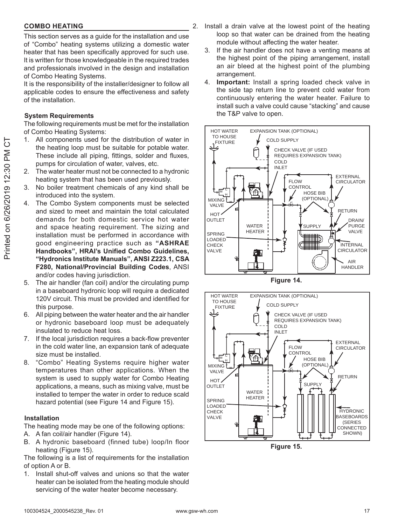#### **COMBO HEATING**

This section serves as a guide for the installation and use of "Combo" heating systems utilizing a domestic water heater that has been specifically approved for such use. It is written for those knowledgeable in the required trades and professionals involved in the design and installation of Combo Heating Systems.

It is the responsibility of the installer/designer to follow all applicable codes to ensure the effectiveness and safety of the installation.

#### **System Requirements**

The following requirements must be met for the installation of Combo Heating Systems:

- All components used for the distribution of water in 1. the heating loop must be suitable for potable water. These include all piping, fittings, solder and fluxes, pumps for circulation of water, valves, etc.
- $2.$ The water heater must not be connected to a hydronic heating system that has been used previously.
- No boiler treatment chemicals of any kind shall be 3. introduced into the system.
- 4. The Combo System components must be selected and sized to meet and maintain the total calculated demands for both domestic service hot water and space heating requirement. The sizing and installation must be performed in accordance with good engineering practice such as "ASHRAE Handbooks", HRAI's Unified Combo Guidelines, "Hydronics Institute Manuals", ANSI Z223.1, CSA F280, National/Provincial Building Codes, ANSI and/or codes having jurisdiction.
- 5. The air handler (fan coil) and/or the circulating pump in a baseboard hydronic loop will require a dedicated 120V circuit. This must be provided and identified for this purpose.
- All piping between the water heater and the air handler 6. or hydronic baseboard loop must be adequately insulated to reduce heat loss.
- 7. If the local jurisdiction requires a back-flow preventer in the cold water line, an expansion tank of adequate size must be installed.
- "Combo" Heating Systems require higher water 8. temperatures than other applications. When the system is used to supply water for Combo Heating applications, a means, such as mixing valve, must be installed to temper the water in order to reduce scald hazard potential (see Figure 14 and Figure 15).

#### **Installation**

The heating mode may be one of the following options:

- A. A fan coil/air handler (Figure 14).
- B. A hydronic baseboard (finned tube) loop/In floor heating (Figure 15).

The following is a list of requirements for the installation of option A or B.

Install shut-off valves and unions so that the water 1. heater can be isolated from the heating module should servicing of the water heater become necessary.

- 2. Install a drain valve at the lowest point of the heating loop so that water can be drained from the heating module without affecting the water heater.
	- 3. If the air handler does not have a venting means at the highest point of the piping arrangement, install an air bleed at the highest point of the plumbing arrangement.
	- **Important:** Install a spring loaded check valve in 4. the side tap return line to prevent cold water from continuously entering the water heater. Failure to install such a valve could cause "stacking" and cause the T&P valve to open.







Figure 15.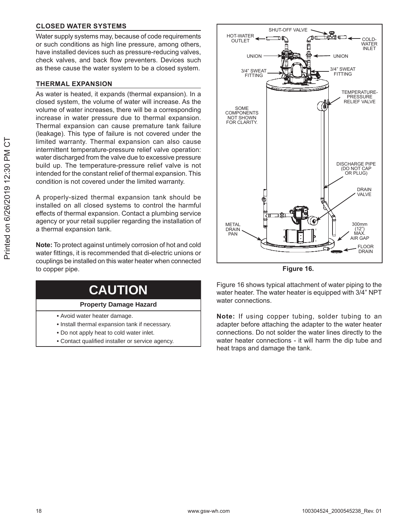#### **CLOSED WATER SYSTEMS**

Water supply systems may, because of code requirements or such conditions as high line pressure, among others, have installed devices such as pressure-reducing valves, check valves, and back flow preventers. Devices such as these cause the water system to be a closed system.

#### **THERMAL EXPANSION**

As water is heated, it expands (thermal expansion). In a closed system, the volume of water will increase. As the volume of water increases, there will be a corresponding increase in water pressure due to thermal expansion. Thermal expansion can cause premature tank failure (leakage). This type of failure is not covered under the limited warranty. Thermal expansion can also cause intermittent temperature-pressure relief valve operation: water discharged from the valve due to excessive pressure build up. The temperature-pressure relief valve is not intended for the constant relief of thermal expansion. This condition is not covered under the limited warranty.

A properly-sized thermal expansion tank should be installed on all closed systems to control the harmful effects of thermal expansion. Contact a plumbing service agency or your retail supplier regarding the installation of a thermal expansion tank.

Note: To protect against untimely corrosion of hot and cold water fittings, it is recommended that di-electric unions or couplings be installed on this water heater when connected to copper pipe.

| <b>CAUTION</b> |  |  |
|----------------|--|--|
|                |  |  |

#### **Property Damage Hazard**

- Avoid water heater damage.
- . Install thermal expansion tank if necessary.
- . Do not apply heat to cold water inlet.
- Contact qualified installer or service agency.



Figure 16.

Figure 16 shows typical attachment of water piping to the water heater. The water heater is equipped with 3/4" NPT water connections.

Note: If using copper tubing, solder tubing to an adapter before attaching the adapter to the water heater connections. Do not solder the water lines directly to the water heater connections - it will harm the dip tube and heat traps and damage the tank.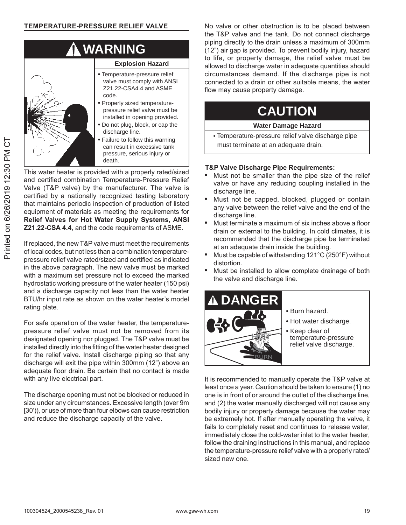

This water heater is provided with a properly rated/sized and certified combination Temperature-Pressure Relief Valve (T&P valve) by the manufacturer. The valve is certified by a nationally recognized testing laboratory that maintains periodic inspection of production of listed equipment of materials as meeting the requirements for **Relief Valves for Hot Water Supply Systems, ANSI Z21.22-CSA 4.4, and the code requirements of ASME.** 

If replaced, the new T&P valve must meet the requirements of local codes, but not less than a combination temperaturepressure relief valve rated/sized and certified as indicated in the above paragraph. The new valve must be marked with a maximum set pressure not to exceed the marked hydrostatic working pressure of the water heater (150 psi) and a discharge capacity not less than the water heater BTU/hr input rate as shown on the water heater's model rating plate.

For safe operation of the water heater, the temperaturepressure relief valve must not be removed from its designated opening nor plugged. The T&P valve must be installed directly into the fitting of the water heater designed for the relief valve. Install discharge piping so that any discharge will exit the pipe within 300mm (12") above an adequate floor drain. Be certain that no contact is made with any live electrical part.

The discharge opening must not be blocked or reduced in size under any circumstances. Excessive length (over 9m [30')), or use of more than four elbows can cause restriction and reduce the discharge capacity of the valve.

No valve or other obstruction is to be placed between the T&P valve and the tank. Do not connect discharge piping directly to the drain unless a maximum of 300mm (12") air gap is provided. To prevent bodily injury, hazard to life, or property damage, the relief valve must be allowed to discharge water in adequate quantities should circumstances demand. If the discharge pipe is not connected to a drain or other suitable means, the water flow may cause property damage.

### **CAUTION**

#### **Water Damage Hazard**

**•** Temperature-pressure relief valve discharge pipe must terminate at an adequate drain.

#### **7&P Valve Discharge Pipe Requirements:**

- Must not be smaller than the pipe size of the relief valve or have any reducing coupling installed in the discharge line.
- Must not be capped, blocked, plugged or contain any valve between the relief valve and the end of the discharge line.
- Must terminate a maximum of six inches above a floor drain or external to the building. In cold climates, it is recommended that the discharge pipe be terminated at an adequate drain inside the building.
- Must be capable of withstanding  $121^{\circ}$ C (250°F) without distortion.
- Must be installed to allow complete drainage of both the valve and discharge line.



- **•** Burn hazard.
- **•** Hot water discharge.
- **•** Keep clear of temperature-pressure relief valve discharge.

It is recommended to manually operate the T&P valve at least once a year. Caution should be taken to ensure (1) no one is in front of or around the outlet of the discharge line, and  $(2)$  the water manually discharged will not cause any bodily injury or property damage because the water may be extremely hot. If after manually operating the valve, it fails to completely reset and continues to release water, immediately close the cold-water inlet to the water heater, follow the draining instructions in this manual, and replace the temperature-pressure relief valve with a properly rated/ sized new one.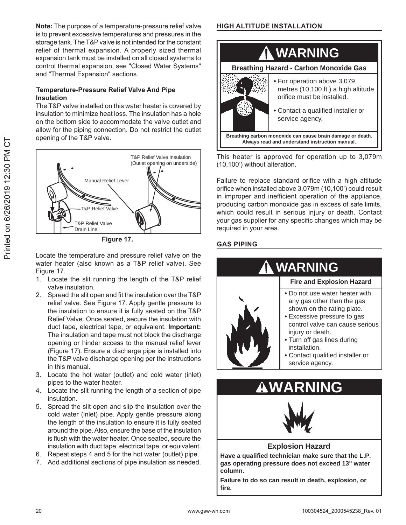Note: The purpose of a temperature-pressure relief valve is to prevent excessive temperatures and pressures in the storage tank. The T&P valve is not intended for the constant relief of thermal expansion. A properly sized thermal expansion tank must be installed on all closed systems to control thermal expansion, see "Closed Water Systems" and "Thermal Expansion" sections.

#### **Temperature-Pressure Relief Valve And Pipe Insulation**

The T&P valve installed on this water heater is covered by insulation to minimize heat loss. The insulation has a hole on the bottom side to accommodate the valve outlet and allow for the piping connection. Do not restrict the outlet opening of the T&P valve.



Figure 17.

Locate the temperature and pressure relief valve on the water heater (also known as a T&P relief valve). See Figure 17.

- 1. Locate the slit running the length of the T&P relief valve insulation.
- 2. Spread the slit open and fit the insulation over the T&P relief valve. See Figure 17. Apply gentle pressure to the insulation to ensure it is fully seated on the T&P Relief Valve. Once seated, secure the insulation with duct tape, electrical tape, or equivalent. Important: The insulation and tape must not block the discharge opening or hinder access to the manual relief lever (Figure 17). Ensure a discharge pipe is installed into the T&P valve discharge opening per the instructions in this manual
- 3. Locate the hot water (outlet) and cold water (inlet) pipes to the water heater.
- 4. Locate the slit running the length of a section of pipe insulation.
- 5. Spread the slit open and slip the insulation over the cold water (inlet) pipe. Apply gentle pressure along the length of the insulation to ensure it is fully seated around the pipe. Also, ensure the base of the insulation is flush with the water heater. Once seated, secure the insulation with duct tape, electrical tape, or equivalent.
- 6. Repeat steps 4 and 5 for the hot water (outlet) pipe.
- 7. Add additional sections of pipe insulation as needed.

#### **HIGH ALTITUDE INSTALLATION**



This heater is approved for operation up to 3,079m (10,100') without alteration.

Failure to replace standard orifice with a high altitude orifice when installed above 3,079m (10,100') could result in improper and inefficient operation of the appliance, producing carbon monoxide gas in excess of safe limits, which could result in serious injury or death. Contact your gas supplier for any specific changes which may be required in your area.

#### **GAS PIPING**



#### **Explosion Hazard**

Have a qualified technician make sure that the L.P. gas operating pressure does not exceed 13" water column.

Failure to do so can result in death, explosion, or fire.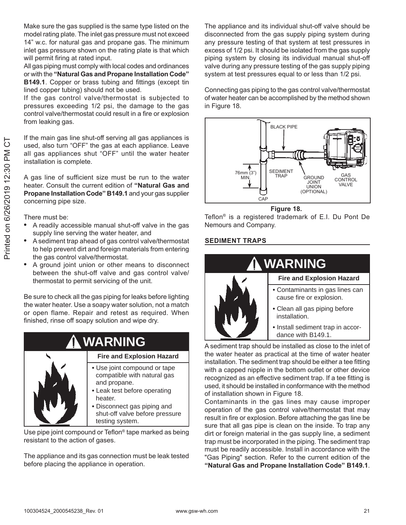Make sure the gas supplied is the same type listed on the model rating plate. The inlet gas pressure must not exceed 14" w.c. for natural gas and propane gas. The minimum inlet gas pressure shown on the rating plate is that which will permit firing at rated input.

All gas piping must comply with local codes and ordinances or with the "Natural Gas and Propane Installation Code" **B149.1.** Copper or brass tubing and fittings (except tin lined copper tubing) should not be used.

If the gas control valve/thermostat is subjected to pressures exceeding 1/2 psi, the damage to the gas control valve/thermostat could result in a fire or explosion from leaking gas.

If the main gas line shut-off serving all gas appliances is used, also turn "OFF" the gas at each appliance. Leave all gas appliances shut "OFF" until the water heater installation is complete.

A gas line of sufficient size must be run to the water heater. Consult the current edition of "Natural Gas and Propane Installation Code" B149.1 and your gas supplier concerning pipe size.

There must be:

- A readily accessible manual shut-off valve in the gas supply line serving the water heater, and
- A sediment trap ahead of gas control valve/thermostat to help prevent dirt and foreign materials from entering the gas control valve/thermostat.
- A ground joint union or other means to disconnect between the shut-off valve and gas control valve/ thermostat to permit servicing of the unit.

Be sure to check all the gas piping for leaks before lighting the water heater. Use a soapy water solution, not a match or open flame. Repair and retest as required. When finished, rinse off soapy solution and wipe dry.

#### **WARNING Fire and Explosion Hazard** • Use joint compound or tape compatible with natural gas and propane. • Leak test before operating heater. • Disconnect gas piping and shut-off valve before pressure testing system.

Use pipe joint compound or Teflon<sup>®</sup> tape marked as being resistant to the action of gases.

The appliance and its gas connection must be leak tested before placing the appliance in operation.

The appliance and its individual shut-off valve should be disconnected from the gas supply piping system during any pressure testing of that system at test pressures in excess of 1/2 psi. It should be isolated from the gas supply piping system by closing its individual manual shut-off valve during any pressure testing of the gas supply piping system at test pressures equal to or less than 1/2 psi.

Connecting gas piping to the gas control valve/thermostat of water heater can be accomplished by the method shown in Figure 18.



Figure 18.

Teflon<sup>®</sup> is a registered trademark of E.I. Du Pont De Nemours and Company.

#### **SEDIMENT TRAPS**



- cause fire or explosion. · Clean all gas piping before
- installation. · Install sediment trap in accordance with B149.1.

A sediment trap should be installed as close to the inlet of the water heater as practical at the time of water heater installation. The sediment trap should be either a tee fitting with a capped nipple in the bottom outlet or other device recognized as an effective sediment trap. If a tee fitting is used, it should be installed in conformance with the method of installation shown in Figure 18.

Contaminants in the gas lines may cause improper operation of the gas control valve/thermostat that may result in fire or explosion. Before attaching the gas line be sure that all gas pipe is clean on the inside. To trap any dirt or foreign material in the gas supply line, a sediment trap must be incorporated in the piping. The sediment trap must be readily accessible. Install in accordance with the "Gas Piping" section. Refer to the current edition of the "Natural Gas and Propane Installation Code" B149.1.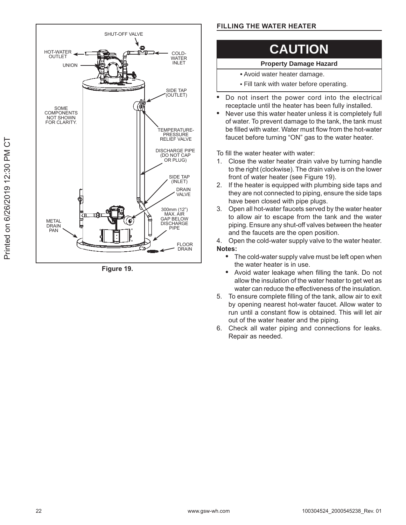

Figure 19.

#### **FILLING THE WATER HEATER**

### **CAUTION**

#### **Property Damage Hazard**

- Avoid water heater damage.
- Fill tank with water before operating.
- Do not insert the power cord into the electrical receptacle until the heater has been fully installed.
- Never use this water heater unless it is completely full of water. To prevent damage to the tank, the tank must be filled with water. Water must flow from the hot-water faucet before turning "ON" gas to the water heater.

To fill the water heater with water:

- 1. Close the water heater drain valve by turning handle to the right (clockwise). The drain valve is on the lower front of water heater (see Figure 19).
- 2. If the heater is equipped with plumbing side taps and they are not connected to piping, ensure the side taps have been closed with pipe plugs.
- Open all hot-water faucets served by the water heater 3. to allow air to escape from the tank and the water piping. Ensure any shut-off valves between the heater and the faucets are the open position.

4. Open the cold-water supply valve to the water heater. Notes:

- The cold-water supply valve must be left open when the water heater is in use.
- Avoid water leakage when filling the tank. Do not  $\bullet$ allow the insulation of the water heater to get wet as water can reduce the effectiveness of the insulation.
- 5. To ensure complete filling of the tank, allow air to exit by opening nearest hot-water faucet. Allow water to run until a constant flow is obtained. This will let air out of the water heater and the piping.
- 6. Check all water piping and connections for leaks. Repair as needed.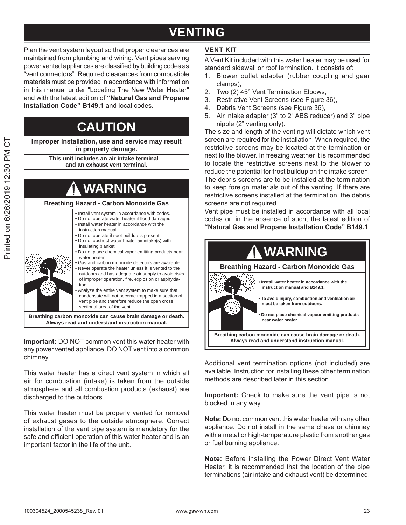### **VENTING**

Plan the vent system layout so that proper clearances are maintained from plumbing and wiring. Vent pipes serving power vented appliances are classified by building codes as "vent connectors". Required clearances from combustible materials must be provided in accordance with information in this manual under "Locating The New Water Heater" and with the latest edition of "Natural Gas and Propane **Installation Code" B149.1 and local codes.** 

### **CAUTION**

**Improper Installation, use and service may result in property damage.**

> **This unit includes an air intake terminal and an exhaust vent terminal.**

### **WARNING**

#### **Breathing Hazard - Carbon Monoxide Gas**

- **•** Install vent system In accordance with codes. **•** Do not operate water heater if flood damaged. **•** Install water heater in accordance with the instruction manual.
- **•** Do not operate if soot buildup is present.
- **•** Do not obstruct water heater air intake(s) with insulating blanket.
- **•** Do not place chemical vapor emitting products near water heater.
- **•** Gas and carbon monoxide detectors are available. **•** Never operate the heater unless it is vented to the outdoors and has adequate air supply to avoid risks of improper operation, fire, explosion or asphyxiation.
- **•** Analyze the entire vent system to make sure that condensate will not become trapped in a section of vent pipe and therefore reduce the open cross sectional area of the vent.

**Breathing carbon monoxide can cause brain damage or death. Always read and understand instruction manual.**

**Important:** DO NOT common vent this water heater with any power vented appliance. DO NOT vent into a common chimney.

This water heater has a direct vent system in which all air for combustion (intake) is taken from the outside atmosphere and all combustion products (exhaust) are discharged to the outdoors.

This water heater must be properly vented for removal of exhaust gases to the outside atmosphere. Correct installation of the vent pipe system is mandatory for the safe and efficient operation of this water heater and is an important factor in the life of the unit.

#### **VENT KIT**

A Vent Kit included with this water heater may be used for standard sidewall or roof termination. It consists of:

- 1. Blower outlet adapter (rubber coupling and gear clamps),
- 2. Two (2) 45° Vent Termination Elbows,
- 3. Restrictive Vent Screens (see Figure 36).
- 4. Debris Vent Screens (see Figure 36).
- 5. Air intake adapter (3" to 2" ABS reducer) and 3" pipe  $n$ ipple  $(2<sup>n</sup>$  venting only).

The size and length of the venting will dictate which vent screen are required for the installation. When required, the restrictive screens may be located at the termination or next to the blower. In freezing weather it is recommended to locate the restrictive screens next to the blower to reduce the potential for frost buildup on the intake screen. The debris screens are to be installed at the termination to keep foreign materials out of the venting. If there are restrictive screens installed at the termination, the debris screens are not required.

Vent pipe must be installed in accordance with all local codes or, in the absence of such, the latest edition of "Natural Gas and Propane Installation Code" B149.1.



Additional vent termination options (not included) are available. Instruction for installing these other termination methods are described later in this section.

**Important:** Check to make sure the vent pipe is not blocked in any way.

**Note:** Do not common vent this water heater with any other appliance. Do not install in the same chase or chimney with a metal or high-temperature plastic from another gas or fuel burning appliance.

**Note:** Before installing the Power Direct Vent Water Heater, it is recommended that the location of the pipe terminations (air intake and exhaust vent) be determined.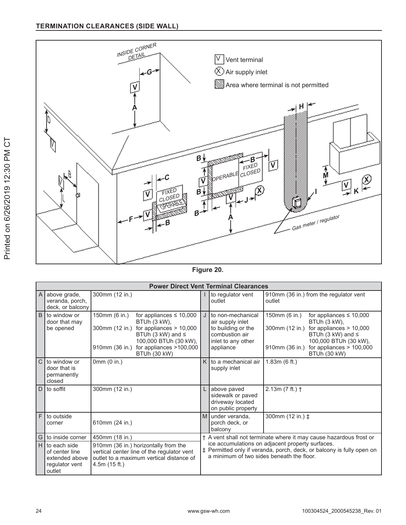

Figure 20.

|               | <b>Power Direct Vent Terminal Clearances</b>                                 |                                                                                                                                                                                                                                     |                                                                                                                                                                        |                                                                                                                  |                                                                                                                                                                                                                              |  |  |  |  |  |
|---------------|------------------------------------------------------------------------------|-------------------------------------------------------------------------------------------------------------------------------------------------------------------------------------------------------------------------------------|------------------------------------------------------------------------------------------------------------------------------------------------------------------------|------------------------------------------------------------------------------------------------------------------|------------------------------------------------------------------------------------------------------------------------------------------------------------------------------------------------------------------------------|--|--|--|--|--|
| A             | above grade,<br>veranda, porch,<br>deck, or balcony                          | 300mm (12 in.)                                                                                                                                                                                                                      |                                                                                                                                                                        | to regulator vent<br>outlet                                                                                      | 910mm (36 in.) from the regulator vent<br>outlet                                                                                                                                                                             |  |  |  |  |  |
| B             | to window or<br>door that may<br>be opened                                   | 150mm (6 in.)<br>for appliances $\leq 10,000$<br>BTUh (3 kW),<br>300mm (12 in.)<br>for appliances $> 10,000$<br>BTUh (3 kW) and $\leq$<br>100,000 BTUh (30 kW),<br>for appliances >100,000<br>910mm (36 in.)<br><b>BTUh (30 kW)</b> |                                                                                                                                                                        | to non-mechanical<br>air supply inlet<br>to building or the<br>combustion air<br>inlet to any other<br>appliance | 150mm (6 in.)<br>for appliances $\leq 10,000$<br>BTUh (3 kW),<br>300mm (12 in.) for appliances $> 10,000$<br>BTUh (3 kW) and $\leq$<br>100,000 BTUh (30 kW),<br>for appliances $> 100,000$<br>910mm (36 in.)<br>BTUh (30 kW) |  |  |  |  |  |
| $\mathcal{C}$ | to window or<br>door that is<br>permanently<br>closed                        | 0mm(0 in.)                                                                                                                                                                                                                          |                                                                                                                                                                        | to a mechanical air<br>supply inlet                                                                              | 1.83m(6 ft.)                                                                                                                                                                                                                 |  |  |  |  |  |
| D             | to soffit                                                                    | 300mm (12 in.)                                                                                                                                                                                                                      |                                                                                                                                                                        | above paved<br>sidewalk or paved<br>driveway located<br>on public property                                       | $2.13m (7 ft.)$ †                                                                                                                                                                                                            |  |  |  |  |  |
| F             | to outside<br>corner                                                         | 610mm (24 in.)                                                                                                                                                                                                                      |                                                                                                                                                                        | M under veranda,<br>porch deck, or<br>balcony                                                                    | 300mm (12 in.) ‡                                                                                                                                                                                                             |  |  |  |  |  |
| G             | to inside corner                                                             | 450mm (18 in.)                                                                                                                                                                                                                      |                                                                                                                                                                        |                                                                                                                  | † A vent shall not terminate where it may cause hazardous frost or                                                                                                                                                           |  |  |  |  |  |
| H             | to each side<br>of center line<br>extended above<br>regulator vent<br>outlet | 910mm (36 in.) horizontally from the<br>vertical center line of the regulator vent<br>outlet to a maximum vertical distance of<br>4.5m(15 ft.)                                                                                      | ice accumulations on adjacent property surfaces.<br>‡ Permitted only if veranda, porch, deck, or balcony is fully open on<br>a minimum of two sides beneath the floor. |                                                                                                                  |                                                                                                                                                                                                                              |  |  |  |  |  |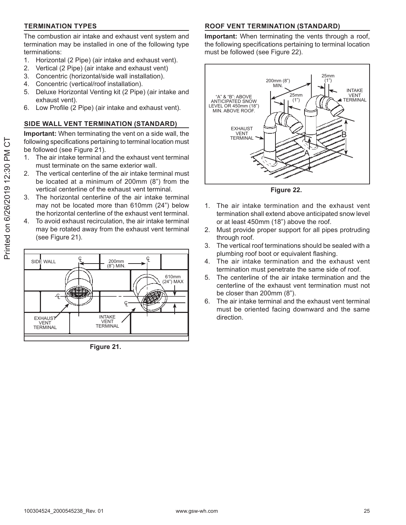#### **TERMINATION TYPES**

The combustion air intake and exhaust vent system and termination may be installed in one of the following type terminations:

- $\mathbf{1}$ . Horizontal (2 Pipe) (air intake and exhaust vent).
- 2. Vertical (2 Pipe) (air intake and exhaust vent)
- Concentric (horizontal/side wall installation). 3.
- 4. Concentric (vertical/roof installation).
- Deluxe Horizontal Venting kit (2 Pipe) (air intake and 5. exhaust vent).
- 6. Low Profile (2 Pipe) (air intake and exhaust vent).

#### SIDE WALL VENT TERMINATION (STANDARD)

**Important:** When terminating the vent on a side wall, the following specifications pertaining to terminal location must be followed (see Figure 21).

- The air intake terminal and the exhaust vent terminal 1. must terminate on the same exterior wall.
- 2. The vertical centerline of the air intake terminal must be located at a minimum of 200mm (8") from the vertical centerline of the exhaust vent terminal.
- 3. The horizontal centerline of the air intake terminal may not be located more than 610mm (24") below the horizontal centerline of the exhaust vent terminal.
- To avoid exhaust recirculation, the air intake terminal 4. may be rotated away from the exhaust vent terminal (see Figure 21).



Figure 21.

#### **ROOF VENT TERMINATION (STANDARD)**

Important: When terminating the vents through a roof, the following specifications pertaining to terminal location must be followed (see Figure 22).



Figure 22.

- 1. The air intake termination and the exhaust vent termination shall extend above anticipated snow level or at least 450mm (18") above the roof.
- Must provide proper support for all pipes protruding  $2.$ through roof.
- $3<sub>1</sub>$ The vertical roof terminations should be sealed with a plumbing roof boot or equivalent flashing.
- The air intake termination and the exhaust vent 4. termination must penetrate the same side of roof.
- 5. The centerline of the air intake termination and the centerline of the exhaust vent termination must not be closer than 200mm (8").
- The air intake terminal and the exhaust vent terminal 6. must be oriented facing downward and the same direction.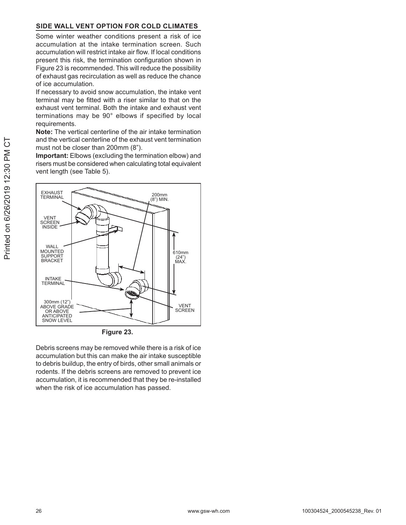#### SIDE WALL VENT OPTION FOR COLD CLIMATES

Some winter weather conditions present a risk of ice accumulation at the intake termination screen. Such accumulation will restrict intake air flow. If local conditions present this risk, the termination configuration shown in Figure 23 is recommended. This will reduce the possibility of exhaust gas recirculation as well as reduce the chance of ice accumulation.

If necessary to avoid snow accumulation, the intake vent terminal may be fitted with a riser similar to that on the exhaust vent terminal. Both the intake and exhaust vent terminations may be 90° elbows if specified by local requirements.

Note: The vertical centerline of the air intake termination and the vertical centerline of the exhaust vent termination must not be closer than 200mm (8").

Important: Elbows (excluding the termination elbow) and risers must be considered when calculating total equivalent vent length (see Table 5).



Figure 23.

Debris screens may be removed while there is a risk of ice accumulation but this can make the air intake susceptible to debris buildup, the entry of birds, other small animals or rodents. If the debris screens are removed to prevent ice accumulation, it is recommended that they be re-installed when the risk of ice accumulation has passed.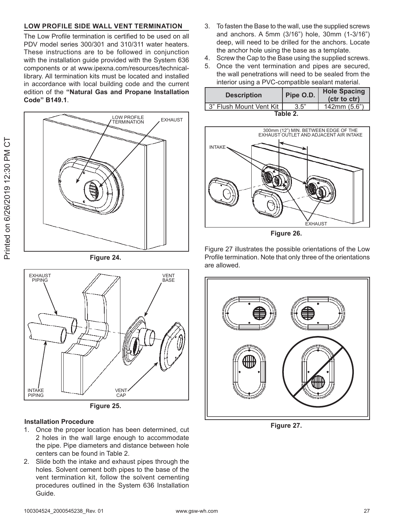#### LOW PROFILE SIDE WALL VENT TERMINATION

The Low Profile termination is certified to be used on all PDV model series 300/301 and 310/311 water heaters. These instructions are to be followed in conjunction with the installation guide provided with the System 636 components or at www.ipexna.com/resources/technicallibrary. All termination kits must be located and installed in accordance with local building code and the current edition of the "Natural Gas and Propane Installation Code" B149.1.



Figure 24.





#### **Installation Procedure**

- 1. Once the proper location has been determined, cut 2 holes in the wall large enough to accommodate the pipe. Pipe diameters and distance between hole centers can be found in Table 2.
- 2. Slide both the intake and exhaust pipes through the holes. Solvent cement both pipes to the base of the vent termination kit, follow the solvent cementing procedures outlined in the System 636 Installation Guide.
- 3. To fasten the Base to the wall, use the supplied screws and anchors. A 5mm (3/16") hole, 30mm (1-3/16") deep, will need to be drilled for the anchors. Locate the anchor hole using the base as a template.
- Screw the Cap to the Base using the supplied screws. 4.
- 5. Once the vent termination and pipes are secured, the wall penetrations will need to be sealed from the interior using a PVC-compatible sealant material.

| <b>Description</b>      | Pipe O.D. | <b>Hole Spacing</b><br>(ctr to ctr) |  |  |  |  |  |
|-------------------------|-----------|-------------------------------------|--|--|--|--|--|
| 3" Flush Mount Vent Kit | 3.5"      | 142mm (5.6")                        |  |  |  |  |  |
| Table 2                 |           |                                     |  |  |  |  |  |



Figure 26.

Figure 27 illustrates the possible orientations of the Low Profile termination. Note that only three of the orientations are allowed.



Figure 27.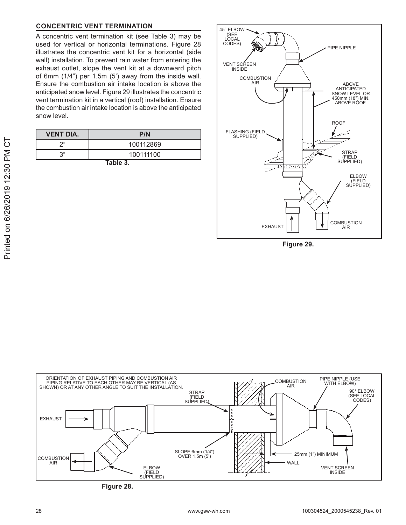#### **CONCENTRIC VENT TERMINATION**

A concentric vent termination kit (see Table 3) may be used for vertical or horizontal terminations. Figure 28 illustrates the concentric vent kit for a horizontal (side wall) installation. To prevent rain water from entering the exhaust outlet, slope the vent kit at a downward pitch of 6mm (1/4") per 1.5m (5') away from the inside wall. Ensure the combustion air intake location is above the anticipated snow level. Figure 29 illustrates the concentric vent termination kit in a vertical (roof) installation. Ensure the combustion air intake location is above the anticipated snow level.

| <b>VENT DIA.</b> | P/N       |  |  |  |  |
|------------------|-----------|--|--|--|--|
| າ"               | 100112869 |  |  |  |  |
| ر ب              | 100111100 |  |  |  |  |
|                  |           |  |  |  |  |

Table 3.



Figure 29.



Figure 28.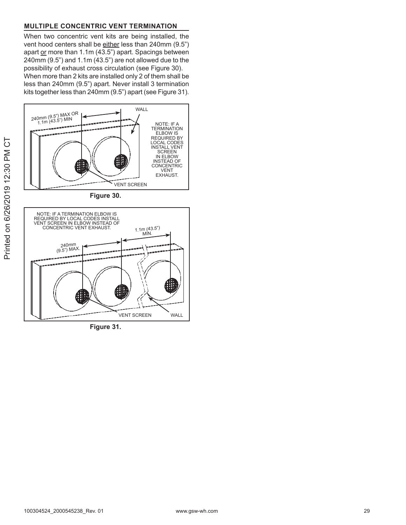#### **MULTIPLE CONCENTRIC VENT TERMINATION**

When two concentric vent kits are being installed, the vent hood centers shall be either less than 240mm (9.5") apart or more than 1.1m (43.5") apart. Spacings between  $240$ mm  $(9.5")$  and  $1.1$ m $(43.5")$  are not allowed due to the possibility of exhaust cross circulation (see Figure 30).

When more than 2 kits are installed only 2 of them shall be less than 240mm (9.5") apart. Never install 3 termination kits together less than 240mm (9.5") apart (see Figure 31).



Figure 31.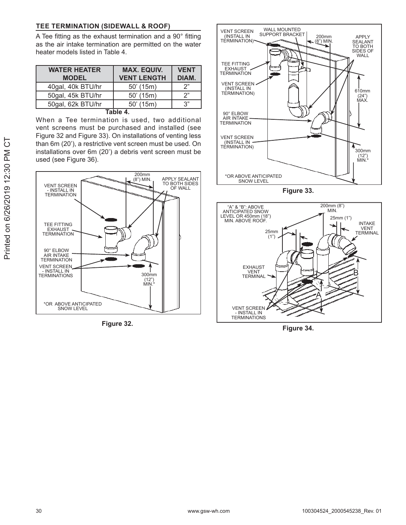#### TEE TERMINATION (SIDEWALL & ROOF)

A Tee fitting as the exhaust termination and a 90° fitting as the air intake termination are permitted on the water heater models listed in Table 4.

| <b>WATER HEATER</b> | <b>MAX. EQUIV.</b> | <b>VENT</b> |
|---------------------|--------------------|-------------|
| <b>MODEL</b>        | <b>VENT LENGTH</b> | DIAM.       |
| 40gal, 40k BTU/hr   | $50'$ (15m)        | ′2          |
| 50gal, 45k BTU/hr   | $50'$ (15m)        | ′2          |
| 50gal, 62k BTU/hr   | $50'$ (15m)        | 3"          |
|                     |                    |             |

When a Tee termination is used, two additional vent screens must be purchased and installed (see Figure 32 and Figure 33). On installations of venting less than 6m (20'), a restrictive vent screen must be used. On installations over 6m (20') a debris vent screen must be used (see Figure 36).



Figure 32.



Figure 33.



Figure 34.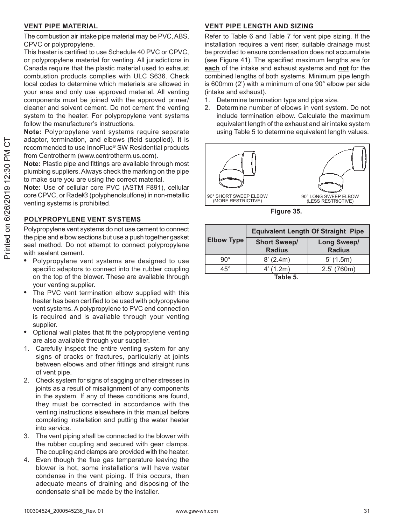#### **VENT PIPE MATERIAL**

The combustion air intake pipe material may be PVC, ABS, CPVC or polypropylene.

This heater is certified to use Schedule 40 PVC or CPVC. or polypropylene material for venting. All jurisdictions in Canada require that the plastic material used to exhaust combustion products complies with ULC S636. Check local codes to determine which materials are allowed in your area and only use approved material. All venting components must be joined with the approved primer/ cleaner and solvent cement. Do not cement the venting system to the heater. For polypropylene vent systems follow the manufacturer's instructions.

Note: Polypropylene vent systems require separate adaptor, termination, and elbows (field supplied). It is recommended to use InnoFlue® SW Residential products from Centrotherm (www.centrotherm.us.com).

Note: Plastic pipe and fittings are available through most plumbing suppliers. Always check the marking on the pipe to make sure you are using the correct material.

Note: Use of cellular core PVC (ASTM F891), cellular core CPVC, or Radel® (polyphenolsulfone) in non-metallic venting systems is prohibited.

#### POLYPROPYLENE VENT SYSTEMS

Polypropylene vent systems do not use cement to connect the pipe and elbow sections but use a push together gasket seal method. Do not attempt to connect polypropylene with sealant cement.

- Polypropylene vent systems are designed to use specific adaptors to connect into the rubber coupling on the top of the blower. These are available through your venting supplier.
- The PVC vent termination elbow supplied with this heater has been certified to be used with polypropylene vent systems. A polypropylene to PVC end connection is required and is available through your venting supplier.
- $\bullet$ Optional wall plates that fit the polypropylene venting are also available through your supplier.
- 1. Carefully inspect the entire venting system for any signs of cracks or fractures, particularly at joints between elbows and other fittings and straight runs of vent pipe.
- 2. Check system for signs of sagging or other stresses in joints as a result of misalignment of any components in the system. If any of these conditions are found, they must be corrected in accordance with the venting instructions elsewhere in this manual before completing installation and putting the water heater into service.
- The vent piping shall be connected to the blower with  $\mathcal{S}$ the rubber coupling and secured with gear clamps. The coupling and clamps are provided with the heater.
- Even though the flue gas temperature leaving the 4. blower is hot, some installations will have water condense in the vent piping. If this occurs, then adequate means of draining and disposing of the condensate shall be made by the installer.

#### **VENT PIPE LENGTH AND SIZING**

Refer to Table 6 and Table 7 for vent pipe sizing. If the installation requires a vent riser, suitable drainage must be provided to ensure condensation does not accumulate (see Figure 41). The specified maximum lengths are for each of the intake and exhaust systems and not for the combined lengths of both systems. Minimum pipe length is 600mm  $(2')$  with a minimum of one  $90^\circ$  elbow per side (intake and exhaust).

- Determine termination type and pipe size.  $1<sub>1</sub>$
- Determine number of elbows in vent system. Do not 2. include termination elbow. Calculate the maximum equivalent length of the exhaust and air intake system using Table 5 to determine equivalent length values.



Figure 35.

|                   | <b>Equivalent Length Of Straight Pipe</b> |                              |  |  |  |  |  |  |
|-------------------|-------------------------------------------|------------------------------|--|--|--|--|--|--|
| <b>Elbow Type</b> | <b>Short Sweep/</b><br><b>Radius</b>      | Long Sweep/<br><b>Radius</b> |  |  |  |  |  |  |
| $90^\circ$        | 8' (2.4m)                                 | $5'$ (1.5m)                  |  |  |  |  |  |  |
| $45^{\circ}$      | 4' (1.2m)                                 | $2.5'$ (760m)                |  |  |  |  |  |  |
| Table 5.          |                                           |                              |  |  |  |  |  |  |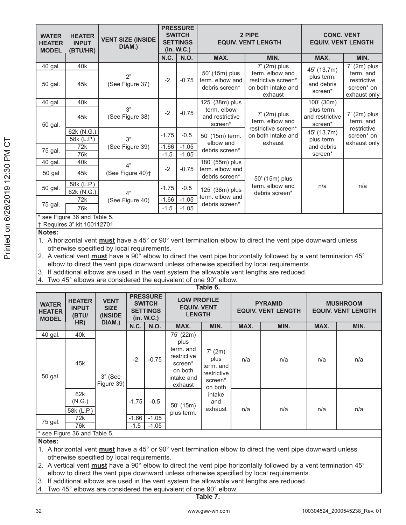| <b>WATER</b><br><b>HEATER</b><br><b>VENT SIZE (INSIDE</b><br><b>HEATER</b><br><b>INPUT</b><br>DIAM.)<br><b>MODEL</b><br>(BTU/HR) |                                                           | <b>PRESSURE</b><br><b>SWITCH</b><br><b>SETTINGS</b><br>(in. W.C.) |         |             | 2 PIPE<br><b>EQUIV. VENT LENGTH</b>                 | <b>CONC. VENT</b><br><b>EQUIV. VENT LENGTH</b>                          |                                          |                                                        |
|----------------------------------------------------------------------------------------------------------------------------------|-----------------------------------------------------------|-------------------------------------------------------------------|---------|-------------|-----------------------------------------------------|-------------------------------------------------------------------------|------------------------------------------|--------------------------------------------------------|
|                                                                                                                                  |                                                           |                                                                   | N.C.    | <b>N.O.</b> | MAX.                                                | MIN.                                                                    | MAX.                                     | MIN.                                                   |
| 40 gal.                                                                                                                          | 40k                                                       |                                                                   |         |             |                                                     | $7'$ (2m) plus                                                          | 45' (13.7m)                              | $7'$ (2m) plus                                         |
| 50 gal.                                                                                                                          | 45k                                                       | 2"<br>(See Figure 37)                                             | $-2$    | $-0.75$     | 50' (15m) plus<br>term. elbow and<br>debris screen* | term, elbow and<br>restrictive screen*<br>on both intake and<br>exhaust | plus term.<br>and debris<br>screen*      | term, and<br>restrictive<br>screen* on<br>exhaust only |
| 40 gal.                                                                                                                          | 40k                                                       |                                                                   |         |             | 125' (38m) plus                                     |                                                                         | 100' (30m)                               |                                                        |
| 50 gal.                                                                                                                          | 45k                                                       | 3"<br>(See Figure 38)                                             | $-2$    | $-0.75$     | term, elbow<br>and restrictive<br>screen*           | $7'$ (2m) plus<br>term, elbow and                                       | plus term.<br>and restrictive<br>screen* | $7'$ (2m) plus<br>term, and                            |
|                                                                                                                                  | 62k (N.G.)<br>58k (L.P.)                                  | 3"                                                                | $-1.75$ | $-0.5$      | 50' (15m) term.                                     | restrictive screen*<br>on both intake and                               | 45' (13.7m)<br>plus term.                | restrictive<br>screen* on                              |
|                                                                                                                                  | 72k                                                       | (See Figure 39)                                                   | $-1.66$ | $-1.05$     | elbow and<br>debris screen*                         | exhaust                                                                 | and debris                               | exhaust only                                           |
| 75 gal.                                                                                                                          | 76k                                                       |                                                                   | $-1.5$  | $-1.05$     |                                                     |                                                                         | screen*                                  |                                                        |
| 40 gal.                                                                                                                          | 40k                                                       | 4"                                                                |         |             | 180' (55m) plus                                     |                                                                         |                                          |                                                        |
| 50 gal                                                                                                                           | 45k                                                       | (See Figure 40) <sup>+</sup>                                      | $-2$    | $-0.75$     | term, elbow and<br>debris screen*                   | 50' (15m) plus                                                          |                                          |                                                        |
| 50 gal.                                                                                                                          | 58k (L.P.)<br>62k (N.G.)                                  | 4"                                                                | $-1.75$ | $-0.5$      | 125' (38m) plus                                     | term, elbow and<br>debris screen*                                       | n/a                                      | n/a                                                    |
|                                                                                                                                  | 72k                                                       | (See Figure 40)                                                   | $-1.66$ | $-1.05$     | term. elbow and                                     |                                                                         |                                          |                                                        |
| 75 gal.                                                                                                                          | 76k                                                       |                                                                   | $-1.5$  | $-1.05$     | debris screen*                                      |                                                                         |                                          |                                                        |
|                                                                                                                                  | see Figure 36 and Table 5.<br>+ Requires 3" kit 100112701 |                                                                   |         |             |                                                     |                                                                         |                                          |                                                        |

Notes:

1. A horizontal vent must have a 45° or 90° vent termination elbow to direct the vent pipe downward unless otherwise specified by local requirements.

2. A vertical vent must have a 90° elbow to direct the vent pipe horizontally followed by a vent termination 45° elbow to direct the vent pipe downward unless otherwise specified by local requirements.

3. If additional elbows are used in the vent system the allowable vent lengths are reduced.

4. Two 45° elbows are considered the equivalent of one 90° elbow.

| lable 6.                                      |                                        |                                       |         |                                                                   |                                                                                 |                                                                                               |      |      |                                              |      |
|-----------------------------------------------|----------------------------------------|---------------------------------------|---------|-------------------------------------------------------------------|---------------------------------------------------------------------------------|-----------------------------------------------------------------------------------------------|------|------|----------------------------------------------|------|
| <b>WATER</b><br><b>HEATER</b><br><b>MODEL</b> | <b>HEATER</b><br><b>INPUT</b><br>(BTU/ | <b>VENT</b><br><b>SIZE</b><br>(INSIDE |         | <b>PRESSURE</b><br><b>SWITCH</b><br><b>SETTINGS</b><br>(in. W.C.) | <b>LOW PROFILE</b><br><b>EQUIV. VENT</b><br><b>LENGTH</b>                       | <b>PYRAMID</b><br><b>EQUIV. VENT LENGTH</b>                                                   |      |      | <b>MUSHROOM</b><br><b>EQUIV. VENT LENGTH</b> |      |
|                                               | HR)                                    | DIAM.)                                | N.C.    | N.O.                                                              | MAX.                                                                            | MIN.                                                                                          | MAX. | MIN. | MAX.                                         | MIN. |
| 40 gal.                                       | 40 <sub>k</sub>                        |                                       |         |                                                                   | 75' (22m)                                                                       |                                                                                               |      |      |                                              |      |
| 50 gal.                                       | 45k                                    | $3"$ (See<br>Figure 39)               | $-2$    | $-0.75$                                                           | plus<br>term. and<br>restrictive<br>screen*<br>on both<br>intake and<br>exhaust | 7' (2m)<br>plus<br>term. and<br>restrictive<br>screen*<br>on both<br>intake<br>and<br>exhaust | n/a  | n/a  | n/a                                          | n/a  |
| 75 gal.                                       | 62k<br>(N.G.)<br>58k (L.P.)            |                                       | $-1.75$ | $-0.5$                                                            | $50'$ (15m)<br>plus term.                                                       |                                                                                               | n/a  | n/a  | n/a                                          | n/a  |
|                                               | 72k                                    |                                       | $-1.66$ | $-1.05$                                                           |                                                                                 |                                                                                               |      |      |                                              |      |
|                                               | 76k                                    |                                       | $-1.5$  | $-1.05$                                                           |                                                                                 |                                                                                               |      |      |                                              |      |
|                                               | 5 Area Figure 36 and Table معه *       |                                       |         |                                                                   |                                                                                 |                                                                                               |      |      |                                              |      |

Notes:

- 1. A horizontal vent must have a 45° or 90° vent termination elbow to direct the vent pipe downward unless otherwise specified by local requirements.
- 2. A vertical vent must have a 90° elbow to direct the vent pipe horizontally followed by a vent termination 45° elbow to direct the vent pipe downward unless otherwise specified by local requirements.
- 3. If additional elbows are used in the vent system the allowable vent lengths are reduced.
- Two 45° elbows are considered the equivalent of one 90° elbow. 4.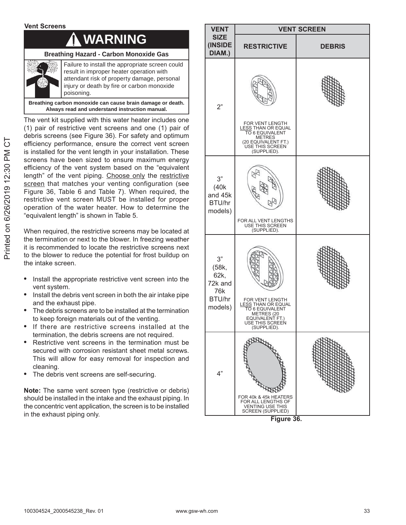#### **Vent Screens**

### **WARNING**

#### **Breathing Hazard - Carbon Monoxide Gas**



Failure to install the appropriate screen could result in improper heater operation with attendant risk of property damage, personal injury or death by fire or carbon monoxide poisoning.

**Breathing carbon monoxide can cause brain damage or death. Always read and understand instruction manual.**

The vent kit supplied with this water heater includes one  $(1)$  pair of restrictive vent screens and one  $(1)$  pair of debris screens (see Figure 36). For safety and optimum efficiency performance, ensure the correct vent screen is installed for the vent length in your installation. These screens have been sized to ensure maximum energy efficiency of the vent system based on the "equivalent length" of the vent piping. Choose only the restrictive screen that matches your venting configuration (see Figure 36, Table 6 and Table 7). When required, the restrictive vent screen MUST be installed for proper operation of the water heater. How to determine the "equivalent length" is shown in Table 5.

When required, the restrictive screens may be located at the termination or next to the blower. In freezing weather it is recommended to locate the restrictive screens next to the blower to reduce the potential for frost buildup on the intake screen.

- Install the appropriate restrictive vent screen into the vent system.
- Install the debris vent screen in both the air intake pipe and the exhaust pipe.
- The debris screens are to be installed at the termination to keep foreign materials out of the venting.
- If there are restrictive screens installed at the termination, the debris screens are not required.
- Restrictive vent screens in the termination must be secured with corrosion resistant sheet metal screws. This will allow for easy removal for inspection and cleaning.
- The debris vent screens are self-securing.

**Note:** The same vent screen type (restrictive or debris) should be installed in the intake and the exhaust piping. In the concentric vent application, the screen is to be installed in the exhaust piping only.



Figure 36.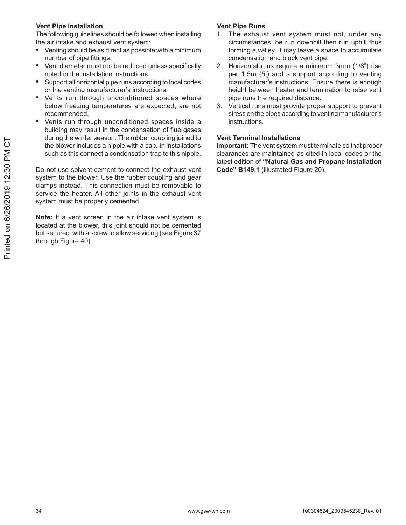#### **Vent Pipe Installation**

The following guidelines should be followed when installing the air intake and exhaust vent system:

- Venting should be as direct as possible with a minimum  $\bullet$ number of pipe fittings.
- Vent diameter must not be reduced unless specifically  $\bullet$ noted in the installation instructions.
- Support all horizontal pipe runs according to local codes or the venting manufacturer's instructions.
- Vents run through unconditioned spaces where below freezing temperatures are expected, are not recommended.
- Vents run through unconditioned spaces inside a building may result in the condensation of flue gases during the winter season. The rubber coupling joined to the blower includes a nipple with a cap. In installations such as this connect a condensation trap to this nipple.

Do not use solvent cement to connect the exhaust vent system to the blower. Use the rubber coupling and gear clamps instead. This connection must be removable to service the heater. All other joints in the exhaust vent system must be properly cemented.

Note: If a vent screen in the air intake vent system is located at the blower, this joint should not be cemented but secured with a screw to allow servicing (see Figure 37 through Figure 40).

#### **Vent Pipe Runs**

- The exhaust vent system must not, under any  $1.$ circumstances, be run downhill then run uphill thus forming a valley. It may leave a space to accumulate condensation and block vent pipe.
- 2. Horizontal runs require a minimum 3mm (1/8") rise per 1.5m (5') and a support according to venting manufacturer's instructions. Ensure there is enough height between heater and termination to raise vent pipe runs the required distance.
- Vertical runs must provide proper support to prevent 3. stress on the pipes according to venting manufacturer's instructions.

#### **Vent Terminal Installations**

Important: The vent system must terminate so that proper clearances are maintained as cited in local codes or the latest edition of "Natural Gas and Propane Installation Code" B149.1 (illustrated Figure 20).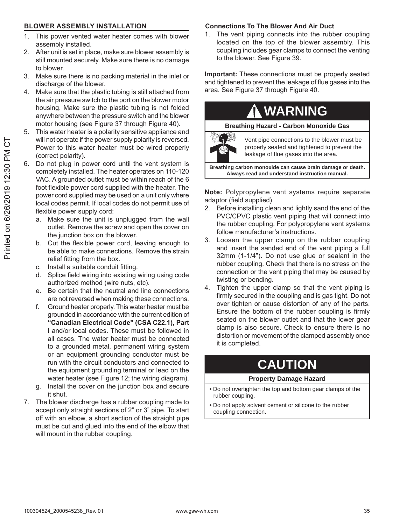#### **BLOWER ASSEMBLY INSTALLATION**

- This power vented water heater comes with blower 1. assembly installed.
- 2. After unit is set in place, make sure blower assembly is still mounted securely. Make sure there is no damage to blower.
- 3. Make sure there is no packing material in the inlet or discharge of the blower.
- Make sure that the plastic tubing is still attached from 4. the air pressure switch to the port on the blower motor housing. Make sure the plastic tubing is not folded anywhere between the pressure switch and the blower motor housing (see Figure 37 through Figure 40).
- 5. This water heater is a polarity sensitive appliance and will not operate if the power supply polarity is reversed. Power to this water heater must be wired properly (correct polarity).
- 6. Do not plug in power cord until the vent system is completely installed. The heater operates on 110-120 VAC. A grounded outlet must be within reach of the 6 foot flexible power cord supplied with the heater. The power cord supplied may be used on a unit only where local codes permit. If local codes do not permit use of flexible power supply cord:
	- Make sure the unit is unplugged from the wall a. outlet. Remove the screw and open the cover on the junction box on the blower.
	- b. Cut the flexible power cord, leaving enough to be able to make connections. Remove the strain relief fitting from the box.
	- Install a suitable conduit fitting. C.
	- Splice field wiring into existing wiring using code  $d.$ authorized method (wire nuts, etc).
	- e. Be certain that the neutral and line connections are not reversed when making these connections.
	- Ground heater properly. This water heater must be f. grounded in accordance with the current edition of "Canadian Electrical Code" (CSA C22.1), Part I and/or local codes. These must be followed in all cases. The water heater must be connected to a grounded metal, permanent wiring system or an equipment grounding conductor must be run with the circuit conductors and connected to the equipment grounding terminal or lead on the water heater (see Figure 12; the wiring diagram).
	- Install the cover on the junction box and secure g. it shut.
- 7. The blower discharge has a rubber coupling made to accept only straight sections of 2" or 3" pipe. To start off with an elbow, a short section of the straight pipe must be cut and glued into the end of the elbow that will mount in the rubber coupling.

#### **Connections To The Blower And Air Duct**

The vent piping connects into the rubber coupling 1. located on the top of the blower assembly. This coupling includes gear clamps to connect the venting to the blower. See Figure 39.

Important: These connections must be properly seated and tightened to prevent the leakage of flue gases into the area. See Figure 37 through Figure 40.

### **WARNING Breathing Hazard - Carbon Monoxide Gas** Vent pipe connections to the blower must be properly seated and tightened to prevent the leakage of flue gases into the area.

Breathing carbon monoxide can cause brain damage or death. Always read and understand instruction manual.

Note: Polypropylene vent systems require separate adaptor (field supplied).

- Before installing clean and lightly sand the end of the  $2.$ PVC/CPVC plastic vent piping that will connect into the rubber coupling. For polypropylene vent systems follow manufacturer's instructions.
- 3. Loosen the upper clamp on the rubber coupling and insert the sanded end of the vent piping a full 32mm (1-1/4"). Do not use glue or sealant in the rubber coupling. Check that there is no stress on the connection or the vent piping that may be caused by twisting or bending.
- $4.$ Tighten the upper clamp so that the vent piping is firmly secured in the coupling and is gas tight. Do not over tighten or cause distortion of any of the parts. Ensure the bottom of the rubber coupling is firmly seated on the blower outlet and that the lower gear clamp is also secure. Check to ensure there is no distortion or movement of the clamped assembly once it is completed.

### **CAUTION**

#### **Property Damage Hazard**

- . Do not overtighten the top and bottom gear clamps of the rubber coupling.
- . Do not apply solvent cement or silicone to the rubber coupling connection.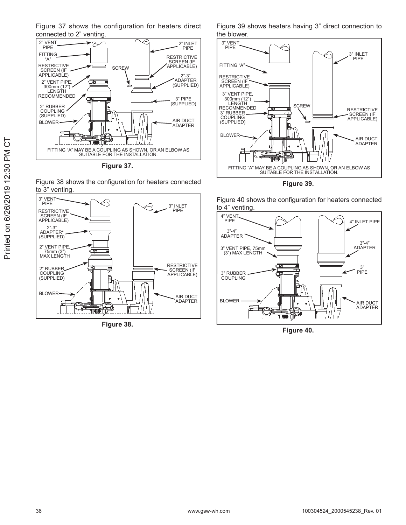Figure 37 shows the configuration for heaters direct connected to 2" venting



Figure 37.





Figure 38.

Figure 39 shows heaters having 3" direct connection to the blower.



Figure 39.

Figure 40 shows the configuration for heaters connected to 4" venting



Figure 40.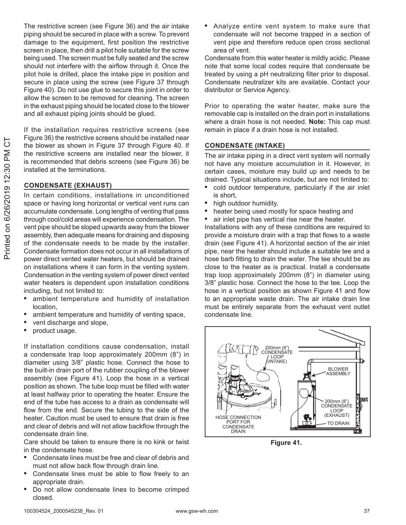The restrictive screen (see Figure 36) and the air intake piping should be secured in place with a screw. To prevent damage to the equipment, first position the restrictive screen in place, then drill a pilot hole suitable for the screw being used. The screen must be fully seated and the screw should not interfere with the airflow through it. Once the pilot hole is drilled, place the intake pipe in position and secure in place using the screw (see Figure 37 through Figure 40). Do not use glue to secure this joint in order to allow the screen to be removed for cleaning. The screen in the exhaust piping should be located close to the blower and all exhaust piping joints should be glued.

If the installation requires restrictive screens (see Figure 36) the restrictive screens should be installed near the blower as shown in Figure 37 through Figure 40. If the restrictive screens are installed near the blower, it is recommended that debris screens (see Figure 36) be installed at the terminations.

#### **CONDENSATE (EXHAUST)**

In certain conditions, installations in unconditioned space or having long horizontal or vertical vent runs can accumulate condensate. Long lengths of venting that pass through cool/cold areas will experience condensation. The vent pipe should be sloped upwards away from the blower assembly, then adequate means for draining and disposing of the condensate needs to be made by the installer. Condensate formation does not occur in all installations of power direct vented water heaters, but should be drained on installations where it can form in the venting system. Condensation in the venting system of power direct vented water heaters is dependent upon installation conditions including, but not limited to:

- ambient temperature and humidity of installation  $\bullet$ location,
- ambient temperature and humidity of venting space,  $\bullet$
- vent discharge and slope,
- $\bullet$ product usage.

If installation conditions cause condensation, install a condensate trap loop approximately 200mm (8") in diameter using 3/8" plastic hose. Connect the hose to the built-in drain port of the rubber coupling of the blower assembly (see Figure 41). Loop the hose in a vertical position as shown. The tube loop must be filled with water at least halfway prior to operating the heater. Ensure the end of the tube has access to a drain as condensate will flow from the end. Secure the tubing to the side of the heater. Caution must be used to ensure that drain is free and clear of debris and will not allow backflow through the condensate drain line.

Care should be taken to ensure there is no kink or twist in the condensate hose.

- Condensate lines must be free and clear of debris and must not allow back flow through drain line.
- Condensate lines must be able to flow freely to an appropriate drain.
- Do not allow condensate lines to become crimped closed.

Analyze entire vent system to make sure that condensate will not become trapped in a section of vent pipe and therefore reduce open cross sectional area of vent.

Condensate from this water heater is mildly acidic. Please note that some local codes require that condensate be treated by using a pH neutralizing filter prior to disposal. Condensate neutralizer kits are available. Contact your distributor or Service Agency.

Prior to operating the water heater, make sure the removable cap is installed on the drain port in installations where a drain hose is not needed. Note: This cap must remain in place if a drain hose is not installed.

#### **CONDENSATE (INTAKE)**

The air intake piping in a direct vent system will normally not have any moisture accumulation in it. However, in certain cases, moisture may build up and needs to be drained. Typical situations include, but are not limited to:

- cold outdoor temperature, particularly if the air inlet is short.
- high outdoor humidity,
- heater being used mostly for space heating and
- air inlet pipe has vertical rise near the heater.

Installations with any of these conditions are required to provide a moisture drain with a trap that flows to a waste drain (see Figure 41). A horizontal section of the air inlet pipe, near the heater should include a suitable tee and a hose barb fitting to drain the water. The tee should be as close to the heater as is practical. Install a condensate trap loop approximately 200mm (8") in diameter using 3/8" plastic hose. Connect the hose to the tee. Loop the hose in a vertical position as shown Figure 41 and flow to an appropriate waste drain. The air intake drain line must be entirely separate from the exhaust vent outlet condensate line.



Figure 41.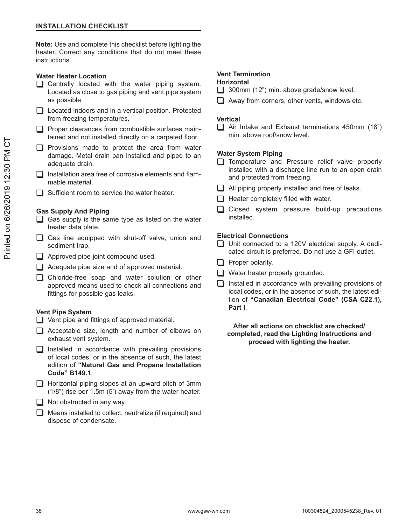Note: Use and complete this checklist before lighting the heater. Correct any conditions that do not meet these instructions.

#### **Water Heater Location**

- Centrally located with the water piping system. Located as close to gas piping and vent pipe system as possible.
- □ Located indoors and in a vertical position. Protected from freezing temperatures.
- $\Box$  Proper clearances from combustible surfaces maintained and not installed directly on a carpeted floor.
- $\Box$  Provisions made to protect the area from water damage. Metal drain pan installed and piped to an adequate drain.
- Installation area free of corrosive elements and flammable material.
- $\Box$  Sufficient room to service the water heater.

#### **Gas Supply And Piping**

- $\Box$  Gas supply is the same type as listed on the water heater data plate.
- □ Gas line equipped with shut-off valve, union and sediment trap.
- $\Box$  Approved pipe joint compound used.
- $\Box$  Adequate pipe size and of approved material.
- □ Chloride-free soap and water solution or other approved means used to check all connections and fittings for possible gas leaks.

#### **Vent Pipe System**

- $\Box$  Vent pipe and fittings of approved material.
- □ Acceptable size, length and number of elbows on exhaust vent system.
- $\Box$  Installed in accordance with prevailing provisions of local codes, or in the absence of such, the latest edition of "Natural Gas and Propane Installation Code" B149.1.
- $\Box$  Horizontal piping slopes at an upward pitch of 3mm  $(1/8)$ " rise per 1.5m  $(5)$  away from the water heater.
- $\Box$  Not obstructed in any way.
- $\Box$  Means installed to collect, neutralize (if required) and dispose of condensate.

#### **Vent Termination**

#### **Horizontal**

- $\Box$  300mm (12") min. above grade/snow level.
- $\Box$  Away from corners, other vents, windows etc.

#### **Vertical**

 $\Box$  Air Intake and Exhaust terminations 450mm (18") min, above roof/snow level.

#### **Water System Piping**

- Temperature and Pressure relief valve properly installed with a discharge line run to an open drain and protected from freezing.
- $\Box$  All piping properly installed and free of leaks.
- $\Box$  Heater completely filled with water.
- □ Closed system pressure build-up precautions installed.

#### **Electrical Connections**

- Unit connected to a 120V electrical supply. A dedicated circuit is preferred. Do not use a GFI outlet.
- $\Box$  Proper polarity.
- $\Box$  Water heater properly grounded.
- $\Box$  Installed in accordance with prevailing provisions of local codes, or in the absence of such, the latest edition of "Canadian Electrical Code" (CSA C22.1), Part I.

#### After all actions on checklist are checked/ completed, read the Lighting Instructions and proceed with lighting the heater.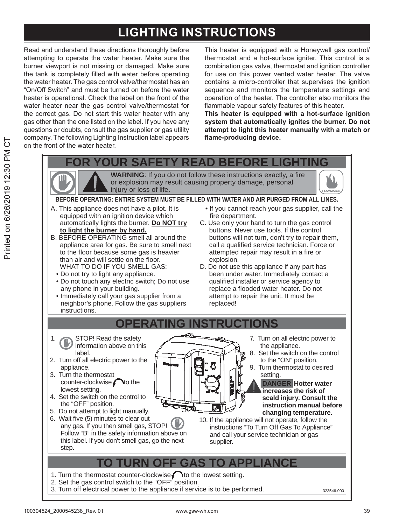### **LIGHTING INSTRUCTIONS**

Read and understand these directions thoroughly before attempting to operate the water heater. Make sure the burner viewport is not missing or damaged. Make sure the tank is completely filled with water before operating the water heater. The gas control valve/thermostat has an "On/Off Switch" and must be turned on before the water heater is operational. Check the label on the front of the water heater near the gas control valve/thermostat for the correct gas. Do not start this water heater with anv gas other than the one listed on the label. If you have any questions or doubts, consult the gas supplier or gas utility company. The following Lighting Instruction label appears on the front of the water heater.

This heater is equipped with a Honeywell gas control/ thermostat and a hot-surface igniter. This control is a combination gas valve, thermostat and ignition controller for use on this power vented water heater. The valve contains a micro-controller that supervises the ignition sequence and monitors the temperature settings and operation of the heater. The controller also monitors the flammable vapour safety features of this heater.

This heater is equipped with a hot-surface ignition system that automatically ignites the burner. Do not attempt to light this heater manually with a match or flame-producing device.

**YOUR SAFETY READ BEFORE L** 

**WARNING:** If you do not follow these instructions exactly, a fire or explosion may result causing property damage, personal injury or loss of life.



#### BEFORE OPERATING: ENTIRE SYSTEM MUST BE FILLED WITH WATER AND AIR PURGED FROM ALL LINES.

- A. This appliance does not have a pilot. It is equipped with an ignition device which automatically lights the burner. Do NOT try to light the burner by hand.
- B. BEFORE OPERATING smell all around the appliance area for gas. Be sure to smell next to the floor because some gas is heavier than air and will settle on the floor. WHAT TO DO IF YOU SMELL GAS:
	- Do not try to light any appliance.
	- . Do not touch any electric switch; Do not use any phone in your building.
	- Immediately call your gas supplier from a neighbor's phone. Follow the gas suppliers instructions.
- . If you cannot reach your gas supplier, call the fire department.
- C. Use only your hand to turn the gas control buttons. Never use tools. If the control buttons will not turn, don't try to repair them, call a qualified service technician. Force or attempted repair may result in a fire or explosion.
- D. Do not use this appliance if any part has been under water. Immediately contact a qualified installer or service agency to replace a flooded water heater. Do not attempt to repair the unit. It must be replaced!

#### OPERATING INSTRUCTIONS

≔≨∆

- STOP! Read the safety 1. information above on this label.
- 2. Turn off all electric power to the appliance.
- 3. Turn the thermostat counter-clockwise to the lowest setting.
- 4. Set the switch on the control to the "OFF" position.
- 5. Do not attempt to light manually.
- 6. Wait five (5) minutes to clear out any gas. If you then smell gas, STOP! Follow "B" in the safety information above on this label. If you don't smell gas, go the next step.
- 7. Turn on all electric power to the appliance.
- 8. Set the switch on the control to the "ON" position.
- 9. Turn thermostat to desired setting.

**DANGER Hotter water** increases the risk of scald injury. Consult the instruction manual before changing temperature.

10. If the appliance will not operate, follow the instructions "To Turn Off Gas To Appliance" and call your service technician or gas supplier.

### **TURN OFF GAS TO APPLIANCE**

ᆅ

- 1. Turn the thermostat counter-clockwise  $\bigcap$  to the lowest setting.
- 2. Set the gas control switch to the "OFF" position.
- 3. Turn off electrical power to the appliance if service is to be performed.

Ч

323546-000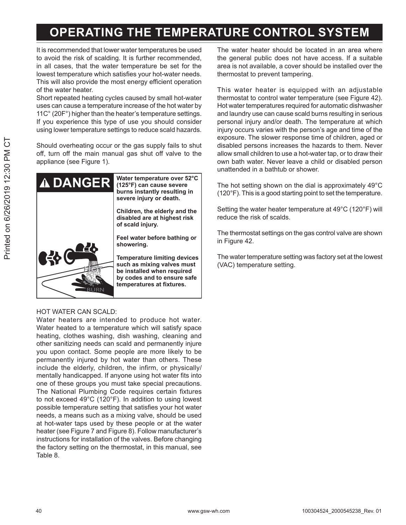### **OPERATING THE TEMPERATURE CONTROL SYSTEM**

It is recommended that lower water temperatures be used to avoid the risk of scalding. It is further recommended, in all cases, that the water temperature be set for the lowest temperature which satisfies your hot-water needs. This will also provide the most energy efficient operation of the water heater.

Short repeated heating cycles caused by small hot-water uses can cause a temperature increase of the hot water by 11C° (20F°) higher than the heater's temperature settings. If you experience this type of use you should consider using lower temperature settings to reduce scald hazards.

Should overheating occur or the gas supply fails to shut off, turn off the main manual gas shut off valve to the appliance (see Figure 1).



#### HOT WATER CAN SCALD:

Water heaters are intended to produce hot water. Water heated to a temperature which will satisfy space heating, clothes washing, dish washing, cleaning and other sanitizing needs can scald and permanently injure you upon contact. Some people are more likely to be permanently injured by hot water than others. These include the elderly, children, the infirm, or physically/ mentally handicapped. If anyone using hot water fits into one of these groups you must take special precautions. The National Plumbing Code requires certain fixtures to not exceed 49°C (120°F). In addition to using lowest possible temperature setting that satisfies your hot water needs, a means such as a mixing valve, should be used at hot-water taps used by these people or at the water heater (see Figure 7 and Figure 8). Follow manufacturer's instructions for installation of the valves. Before changing the factory setting on the thermostat, in this manual, see Table 8.

The water heater should be located in an area where the general public does not have access. If a suitable area is not available, a cover should be installed over the thermostat to prevent tampering.

This water heater is equipped with an adjustable thermostat to control water temperature (see Figure 42). Hot water temperatures required for automatic dishwasher and laundry use can cause scald burns resulting in serious personal injury and/or death. The temperature at which injury occurs varies with the person's age and time of the exposure. The slower response time of children, aged or disabled persons increases the hazards to them. Never allow small children to use a hot-water tap, or to draw their own bath water. Never leave a child or disabled person unattended in a bathtub or shower.

The hot setting shown on the dial is approximately 49°C (120°F). This is a good starting point to set the temperature.

Setting the water heater temperature at 49°C (120°F) will reduce the risk of scalds.

The thermostat settings on the gas control valve are shown in Figure 42.

The water temperature setting was factory set at the lowest (VAC) temperature setting.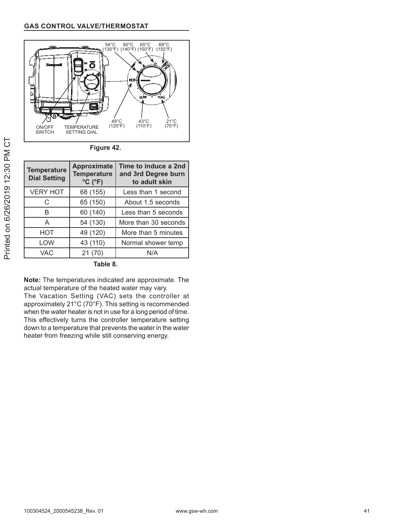

Figure 42.

| <b>Temperature</b><br><b>Dial Setting</b> | <b>Approximate</b><br><b>Temperature</b><br>$°C$ ( $°F$ ) | Time to induce a 2nd<br>and 3rd Degree burn<br>to adult skin |
|-------------------------------------------|-----------------------------------------------------------|--------------------------------------------------------------|
| <b>VERY HOT</b>                           | 68 (155)                                                  | Less than 1 second                                           |
| C                                         | 65 (150)                                                  | About 1.5 seconds                                            |
| В                                         | 60 (140)                                                  | Less than 5 seconds                                          |
| A                                         | 54 (130)                                                  | More than 30 seconds                                         |
| <b>HOT</b>                                | 49 (120)                                                  | More than 5 minutes                                          |
| LOW                                       | 43 (110)                                                  | Normal shower temp                                           |
| <b>VAC</b>                                | 21(70)                                                    | N/A                                                          |

Table 8.

Note: The temperatures indicated are approximate. The actual temperature of the heated water may vary.

The Vacation Setting (VAC) sets the controller at approximately 21°C (70°F). This setting is recommended when the water heater is not in use for a long period of time. This effectively turns the controller temperature setting down to a temperature that prevents the water in the water heater from freezing while still conserving energy.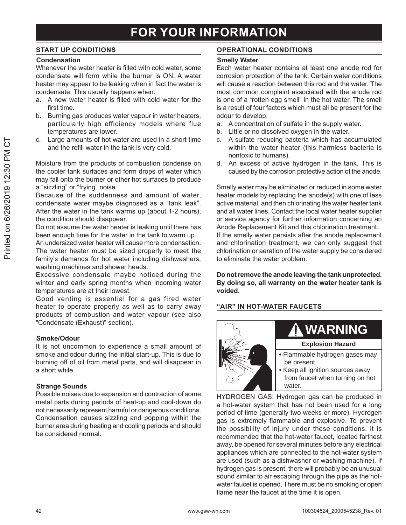#### **START UP CONDITIONS**

#### Condensation

Whenever the water heater is filled with cold water, some condensate will form while the burner is ON. A water heater may appear to be leaking when in fact the water is condensate. This usually happens when:

- a. A new water heater is filled with cold water for the first time
- b. Burning gas produces water vapour in water heaters, particularly high efficiency models where flue temperatures are lower.
- Large amounts of hot water are used in a short time C. and the refill water in the tank is very cold.

Moisture from the products of combustion condense on the cooler tank surfaces and form drops of water which may fall onto the burner or other hot surfaces to produce a "sizzling" or "frying" noise.

Because of the suddenness and amount of water, condensate water maybe diagnosed as a "tank leak". After the water in the tank warms up (about 1-2 hours), the condition should disappear.

Do not assume the water heater is leaking until there has been enough time for the water in the tank to warm up.

An undersized water heater will cause more condensation. The water heater must be sized properly to meet the family's demands for hot water including dishwashers, washing machines and shower heads.

Excessive condensate maybe noticed during the winter and early spring months when incoming water temperatures are at their lowest.

Good venting is essential for a gas fired water heater to operate properly as well as to carry away products of combustion and water vapour (see also "Condensate (Exhaust)" section).

#### Smoke/Odour

It is not uncommon to experience a small amount of smoke and odour during the initial start-up. This is due to burning off of oil from metal parts, and will disappear in a short while.

#### **Strange Sounds**

Possible noises due to expansion and contraction of some metal parts during periods of heat-up and cool-down do not necessarily represent harmful or dangerous conditions. Condensation causes sizzling and popping within the burner area during heating and cooling periods and should be considered normal.

#### **OPERATIONAL CONDITIONS**

#### **Smelly Water**

Each water heater contains at least one anode rod for corrosion protection of the tank. Certain water conditions will cause a reaction between this rod and the water. The most common complaint associated with the anode rod is one of a "rotten egg smell" in the hot water. The smell is a result of four factors which must all be present for the odour to develop:

- A concentration of sulfate in the supply water. a.
- $b<sub>1</sub>$ Little or no dissolved oxygen in the water.
- A sulfate reducing bacteria which has accumulated C. within the water heater (this harmless bacteria is nontoxic to humans).
- d. An excess of active hydrogen in the tank. This is caused by the corrosion protective action of the anode.

Smelly water may be eliminated or reduced in some water heater models by replacing the anode(s) with one of less active material, and then chlorinating the water heater tank and all water lines. Contact the local water heater supplier or service agency for further information concerning an Anode Replacement Kit and this chlorination treatment. If the smelly water persists after the anode replacement and chlorination treatment, we can only suggest that chlorination or aeration of the water supply be considered to eliminate the water problem.

Do not remove the anode leaving the tank unprotected. By doing so, all warranty on the water heater tank is hebiov

#### "AIR" IN HOT-WATER FAUCETS



# **WARNING**

#### **Explosion Hazard**

- · Flammable hydrogen gases may be present.
- Keep all ignition sources away from faucet when turning on hot water.

HYDROGEN GAS: Hydrogen gas can be produced in a hot-water system that has not been used for a long period of time (generally two weeks or more). Hydrogen gas is extremely flammable and explosive. To prevent the possibility of injury under these conditions, it is recommended that the hot-water faucet. located farthest away, be opened for several minutes before any electrical appliances which are connected to the hot-water system are used (such as a dishwasher or washing machine). If hydrogen gas is present, there will probably be an unusual sound similar to air escaping through the pipe as the hotwater faucet is opened. There must be no smoking or open flame near the faucet at the time it is open.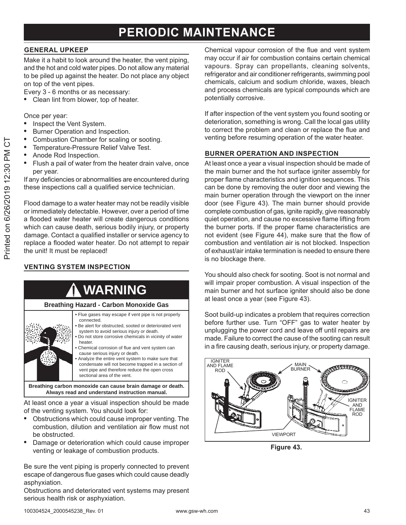### PERIODIC MAINTENANCE

#### **GENERAL UPKEEP**

Make it a habit to look around the heater, the vent piping, and the hot and cold water pipes. Do not allow any material to be piled up against the heater. Do not place any object on top of the vent pipes.

Every 3 - 6 months or as necessary:

Clean lint from blower, top of heater.

Once per year:

- $\bullet$ Inspect the Vent System.
- Burner Operation and Inspection.
- Combustion Chamber for scaling or sooting.
- Temperature-Pressure Relief Valve Test.
- Anode Rod Inspection.
- Flush a pail of water from the heater drain valve, once per year.

If any deficiencies or abnormalities are encountered during these inspections call a qualified service technician.

Flood damage to a water heater may not be readily visible or immediately detectable. However, over a period of time a flooded water heater will create dangerous conditions which can cause death, serious bodily injury, or property damage. Contact a qualified installer or service agency to replace a flooded water heater. Do not attempt to repair the unit! It must be replaced!

#### **VENTING SYSTEM INSPECTION**



Breathing carbon monoxide can cause brain damage or death. Always read and understand instruction manual.

At least once a year a visual inspection should be made of the venting system. You should look for:

- Obstructions which could cause improper venting. The combustion, dilution and ventilation air flow must not be obstructed.
- Damage or deterioration which could cause improper  $\bullet$ venting or leakage of combustion products.

Be sure the vent piping is properly connected to prevent escape of dangerous flue gases which could cause deadly asphyxiation.

Obstructions and deteriorated vent systems may present serious health risk or asphyxiation.

Chemical vapour corrosion of the flue and vent system may occur if air for combustion contains certain chemical vapours. Spray can propellants, cleaning solvents, refrigerator and air conditioner refrigerants, swimming pool chemicals, calcium and sodium chloride, waxes, bleach and process chemicals are typical compounds which are potentially corrosive.

If after inspection of the vent system you found sooting or deterioration, something is wrong. Call the local gas utility to correct the problem and clean or replace the flue and venting before resuming operation of the water heater.

#### **BURNER OPERATION AND INSPECTION**

At least once a year a visual inspection should be made of the main burner and the hot surface igniter assembly for proper flame characteristics and ignition sequences. This can be done by removing the outer door and viewing the main burner operation through the viewport on the inner door (see Figure 43). The main burner should provide complete combustion of gas, ignite rapidly, give reasonably quiet operation, and cause no excessive flame lifting from the burner ports. If the proper flame characteristics are not evident (see Figure 44), make sure that the flow of combustion and ventilation air is not blocked. Inspection of exhaust/air intake termination is needed to ensure there is no blockage there.

You should also check for sooting. Soot is not normal and will impair proper combustion. A visual inspection of the main burner and hot surface igniter should also be done at least once a year (see Figure 43).

Soot build-up indicates a problem that requires correction before further use. Turn "OFF" gas to water heater by unplugging the power cord and leave off until repairs are made. Failure to correct the cause of the sooting can result in a fire causing death, serious injury, or property damage.



Figure 43.

 $\overline{C}$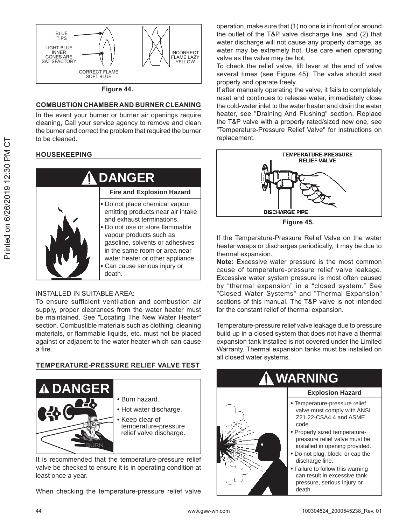

#### **COMBUSTION CHAMBER AND BURNER CLEANING**

In the event your burner or burner air openings require cleaning, Call your service agency to remove and clean the burner and correct the problem that required the burner to be cleaned.

#### **HOUSEKEEPING**



#### $INSTAI$  I FD IN SUITABLE AREA $\cdot$

To ensure sufficient ventilation and combustion air supply, proper clearances from the water heater must be maintained. See "Locating The New Water Heater" section. Combustible materials such as clothing, cleaning materials, or flammable liquids, etc. must not be placed against or adjacent to the water heater which can cause a fire.

#### **TEMPERATURE-PRESSURE RELIEF VALVE TEST**



It is recommended that the temperature-pressure relief valve be checked to ensure it is in operating condition at least once a year.

When checking the temperature-pressure relief valve

operation, make sure that (1) no one is in front of or around the outlet of the T&P valve discharge line, and  $(2)$  that water discharge will not cause any property damage, as water may be extremely hot. Use care when operating valve as the valve may be hot.

To check the relief valve, lift lever at the end of valve several times (see Figure 45). The valve should seat properly and operate freely.

If after manually operating the valve, it fails to completely reset and continues to release water, immediately close the cold-water inlet to the water heater and drain the water heater, see "Draining And Flushing" section. Replace the T&P valve with a properly rated/sized new one, see "Temperature-Pressure Relief Valve" for instructions on replacement.



**Figure 45.** 

If the Temperature-Pressure Relief Valve on the water heater weeps or discharges periodically, it may be due to thermal expansion.

**Note:** Excessive water pressure is the most common cause of temperature-pressure relief valve leakage. Excessive water system pressure is most often caused by "thermal expansion" in a "closed system." See "Closed Water Systems" and "Thermal Expansion" sections of this manual. The T&P valve is not intended for the constant relief of thermal expansion.

Temperature-pressure relief valve leakage due to pressure build up in a closed system that does not have a thermal expansion tank installed is not covered under the Limited Warranty. Thermal expansion tanks must be installed on all closed water systems.

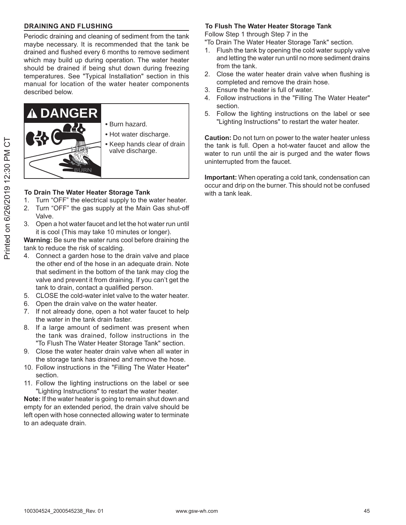#### **DRAINING AND FLUSHING**

Periodic draining and cleaning of sediment from the tank maybe necessary. It is recommended that the tank be drained and flushed every 6 months to remove sediment which may build up during operation. The water heater should be drained if being shut down during freezing temperatures. See "Typical Installation" section in this manual for location of the water heater components described below.



#### **To Drain The Water Heater Storage Tank**

- 1. Turn "OFF" the electrical supply to the water heater.
- 2. Turn "OFF" the gas supply at the Main Gas shut-off Valve.
- 3. Open a hot water faucet and let the hot water run until it is cool (This may take 10 minutes or longer).

**Warning:** Be sure the water runs cool before draining the tank to reduce the risk of scalding.

- 4. Connect a garden hose to the drain valve and place the other end of the hose in an adequate drain. Note that sediment in the bottom of the tank may clog the valve and prevent it from draining. If you can't get the tank to drain, contact a qualified person.
- 5. CLOSE the cold-water inlet valve to the water heater.
- 6. Open the drain valve on the water heater.
- 7. If not already done, open a hot water faucet to help the water in the tank drain faster.
- 8. If a large amount of sediment was present when the tank was drained, follow instructions in the "To Flush The Water Heater Storage Tank" section.
- 9. Close the water heater drain valve when all water in the storage tank has drained and remove the hose.
- 10. Follow instructions in the "Filling The Water Heater" section
- 11. Follow the lighting instructions on the label or see "Lighting Instructions" to restart the water heater.

**Note:** If the water heater is going to remain shut down and empty for an extended period, the drain valve should be left open with hose connected allowing water to terminate to an adequate drain.

#### **To Flush The Water Heater Storage Tank**

Follow Step 1 through Step 7 in the

"To Drain The Water Heater Storage Tank" section.

- 1. Flush the tank by opening the cold water supply valve and letting the water run until no more sediment drains from the tank.
- 2. Close the water heater drain valve when flushing is completed and remove the drain hose.
- 3. Ensure the heater is full of water.
- 4. Follow instructions in the "Filling The Water Heater" section.
- 5. Follow the lighting instructions on the label or see "Lighting Instructions" to restart the water heater.

**Caution:** Do not turn on power to the water heater unless the tank is full. Open a hot-water faucet and allow the water to run until the air is purged and the water flows uninterrupted from the faucet.

Important: When operating a cold tank, condensation can occur and drip on the burner. This should not be confused with a tank leak.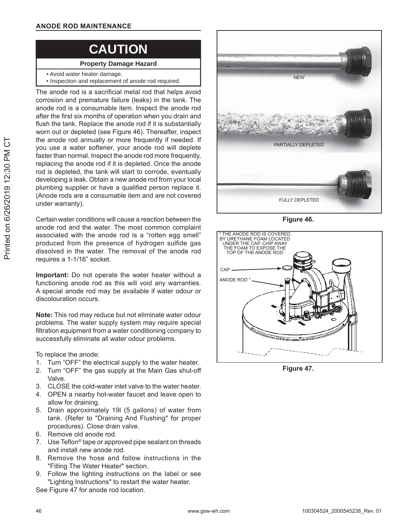### **CAUTION**

#### **Property Damage Hazard**

- Avoid water heater damage.
- Inspection and replacement of anode rod required.

The anode rod is a sacrificial metal rod that helps avoid corrosion and premature failure (leaks) in the tank. The anode rod is a consumable item. Inspect the anode rod after the first six months of operation when you drain and flush the tank. Replace the anode rod if it is substantially worn out or depleted (see Figure 46). Thereafter, inspect the anode rod annually or more frequently if needed. If you use a water softener, your anode rod will deplete faster than normal. Inspect the anode rod more frequently, replacing the anode rod if it is depleted. Once the anode rod is depleted, the tank will start to corrode, eventually developing a leak. Obtain a new anode rod from your local plumbing supplier or have a qualified person replace it. (Anode rods are a consumable item and are not covered under warranty).

Certain water conditions will cause a reaction between the anode rod and the water. The most common complaint associated with the anode rod is a "rotten egg smell" produced from the presence of hydrogen sulfide gas dissolved in the water. The removal of the anode rod requires a 1-1/16" socket.

**Important:** Do not operate the water heater without a functioning anode rod as this will void any warranties. A special anode rod may be available if water odour or discolouration occurs.

**Note:** This rod may reduce but not eliminate water odour problems. The water supply system may require special filtration equipment from a water conditioning company to successfully eliminate all water odour problems.

To replace the anode:

- 1. Turn "OFF" the electrical supply to the water heater.
- 2. Turn "OFF" the gas supply at the Main Gas shut-off Valve.
- 3. CLOSE the cold-water inlet valve to the water heater.
- 4. OPEN a nearby hot-water faucet and leave open to allow for draining.
- 5. Drain approximately 19I (5 gallons) of water from tank. (Refer to "Draining And Flushing" for proper procedures). Close drain valve.
- 6. Remove old anode rod.
- 7. Use Teflon<sup>®</sup> tape or approved pipe sealant on threads and install new anode rod.
- 8. Remove the hose and follow instructions in the "Filling The Water Heater" section.
- 9. Follow the lighting instructions on the label or see "Lighting Instructions" to restart the water heater.

See Figure 47 for anode rod location.



**Figure 46.** 



Figure 47.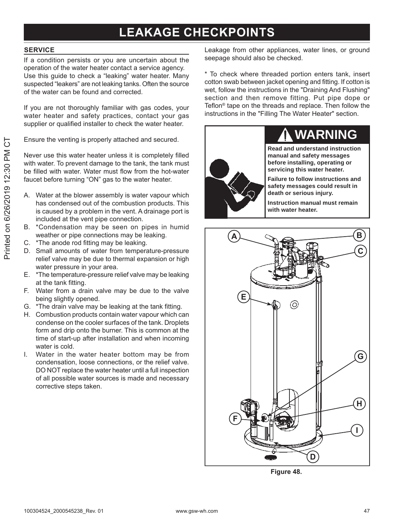### **LEAKAGE CHECKPOINTS**

#### **SERVICE**

If a condition persists or you are uncertain about the operation of the water heater contact a service agency. Use this guide to check a "leaking" water heater. Many suspected "leakers" are not leaking tanks. Often the source of the water can be found and corrected.

If you are not thoroughly familiar with gas codes, your water heater and safety practices, contact your gas supplier or qualified installer to check the water heater.

Ensure the venting is properly attached and secured.

Never use this water heater unless it is completely filled with water. To prevent damage to the tank, the tank must be filled with water. Water must flow from the hot-water faucet before turning "ON" gas to the water heater.

- Water at the blower assembly is water vapour which А. has condensed out of the combustion products. This is caused by a problem in the vent. A drainage port is included at the vent pipe connection.
- B. \*Condensation may be seen on pipes in humid weather or pipe connections may be leaking.
- C. \*The anode rod fitting may be leaking.
- D. Small amounts of water from temperature-pressure relief valve may be due to thermal expansion or high water pressure in your area.
- E. \*The temperature-pressure relief valve may be leaking at the tank fitting.
- F. Water from a drain valve may be due to the valve being slightly opened.
- G. \*The drain valve may be leaking at the tank fitting.
- H. Combustion products contain water vapour which can condense on the cooler surfaces of the tank. Droplets form and drip onto the burner. This is common at the time of start-up after installation and when incoming water is cold.
- Water in the water heater bottom may be from  $\mathbf{L}$ condensation. loose connections, or the relief valve. DO NOT replace the water heater until a full inspection of all possible water sources is made and necessary corrective steps taken.

Leakage from other appliances, water lines, or ground seepage should also be checked.

\* To check where threaded portion enters tank, insert cotton swab between jacket opening and fitting. If cotton is wet, follow the instructions in the "Draining And Flushing" section and then remove fitting. Put pipe dope or Teflon<sup>®</sup> tape on the threads and replace. Then follow the instructions in the "Filling The Water Heater" section.





Figure 48.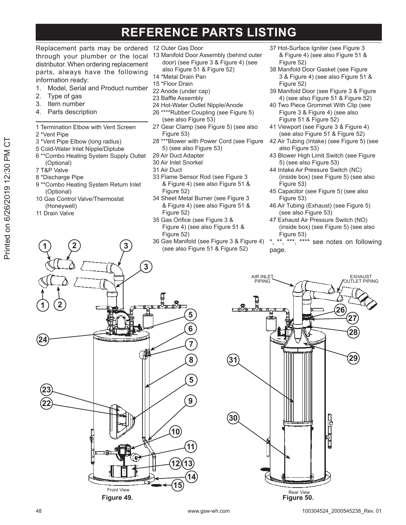### **REFERENCE PARTS LISTING**

Replacement parts may be ordered 12 Outer Gas Door through your plumber or the local distributor. When ordering replacement parts, always have the following information ready:

- Model, Serial and Product number  $1.$
- 2. Type of gas
- Item number 3.
- $4.$ Parts description

1 Termination Elbow with Vent Screen

- 2 \*Vent Pipe
- 3 \*Vent Pipe Elbow (long radius)
- 5 Cold-Water Inlet Nipple/Diptube
- 6 \*\* Combo Heating System Supply Outlet (Optional)
- 7 T&P Valve
- 8 \*Discharge Pipe
- 9 \*\* Combo Heating System Return Inlet (Optional)
- 10 Gas Control Valve/Thermostat (Honeywell)
- 11 Drain Valve
- 
- 13 Manifold Door Assembly (behind outer door) (see Figure 3 & Figure 4) (see also Figure 51 & Figure 52)
- 14 \*Metal Drain Pan
- 15 \*Floor Drain
- 22 Anode (under cap)
- 23 Baffle Assembly
- 24 Hot-Water Outlet Nipple/Anode
- 26 \*\*\*\*Rubber Coupling (see Figure 5) (see also Figure 53)
- 27 Gear Clamp (see Figure 5) (see also Figure 53)
- \*\*\* Blower with Power Cord (see Figure 28 5) (see also Figure 53)
- 29 Air Duct Adapter
- 30 Air Inlet Snorkel
- 31 Air Duct
- 33 Flame Sensor Rod (see Figure 3 & Figure 4) (see also Figure 51 & Figure 52)
- 34 Sheet Metal Burner (see Figure 3 & Figure 4) (see also Figure 51 & Figure 52)
- 35 Gas Orifice (see Figure 3 & Figure 4) (see also Figure 51 & Figure 52)
- 36 Gas Manifold (see Figure 3 & Figure 4) (see also Figure 51 & Figure 52)
- 37 Hot-Surface Igniter (see Figure 3 & Figure 4) (see also Figure 51 & Figure 52)
- 38 Manifold Door Gasket (see Figure 3 & Figure 4) (see also Figure 51 & Figure 52)
- 39 Manifold Door (see Figure 3 & Figure 4) (see also Figure 51 & Figure 52)
- 40 Two Piece Grommet With Clip (see Figure 3 & Figure 4) (see also Figure 51 & Figure 52)
- 41 Viewport (see Figure 3 & Figure 4) (see also Figure 51 & Figure 52)
- 42 Air Tubing (Intake) (see Figure 5) (see also Figure 53)
- 43 Blower High Limit Switch (see Figure 5) (see also Figure 53)
- 44 Intake Air Pressure Switch (NC) (inside box) (see Figure 5) (see also Figure 53)
- 45 Capacitor (see Figure 5) (see also Figure 53)
- 46 Air Tubing (Exhaust) (see Figure 5) (see also Figure 53)
- 47 Exhaust Air Pressure Switch (NO) (inside box) (see Figure 5) (see also Figure 53)
- \*\*, \*\*\*, \*\*\*\* see notes on following page.



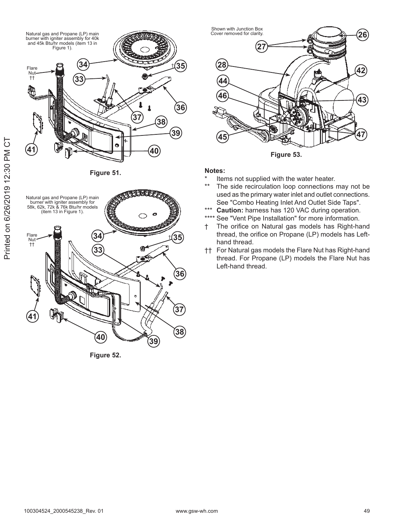

Figure 51.



Figure 52.



Figure 53.

#### Notes:

- Items not supplied with the water heater.
- $**$ The side recirculation loop connections may not be used as the primary water inlet and outlet connections. See "Combo Heating Inlet And Outlet Side Taps".
- $***$ Caution: harness has 120 VAC during operation.
- \*\*\*\* See "Vent Pipe Installation" for more information.
- The orifice on Natural gas models has Right-hand  $^{\dagger}$ thread, the orifice on Propane (LP) models has Lefthand thread.
- †† For Natural gas models the Flare Nut has Right-hand thread. For Propane (LP) models the Flare Nut has Left-hand thread.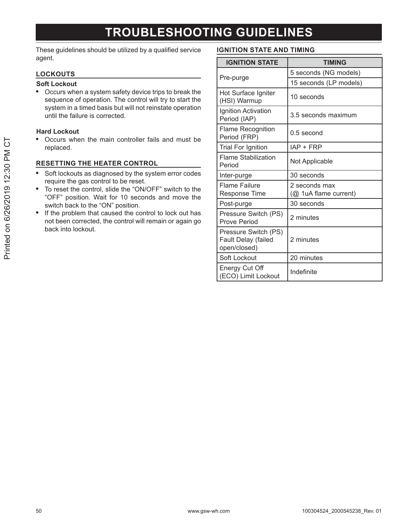### **TROUBLESHOOTING GUIDELINES**

These guidelines should be utilized by a qualified service agent.

#### **LOCKOUTS**

#### **Soft Lockout**

 $\bullet$ Occurs when a system safety device trips to break the sequence of operation. The control will try to start the system in a timed basis but will not reinstate operation until the failure is corrected.

#### **Hard Lockout**

Occurs when the main controller fails and must be  $\bullet$ replaced.

#### **RESETTING THE HEATER CONTROL**

- Soft lockouts as diagnosed by the system error codes  $\bullet$ require the gas control to be reset.
- $\bullet$ To reset the control, slide the "ON/OFF" switch to the "OFF" position. Wait for 10 seconds and move the switch back to the "ON" position.
- If the problem that caused the control to lock out has not been corrected, the control will remain or again go back into lockout.

#### **IGNITION STATE AND TIMING**

| <b>IGNITION STATE</b>                                       | <b>TIMING</b>                          |  |
|-------------------------------------------------------------|----------------------------------------|--|
|                                                             | 5 seconds (NG models)                  |  |
| Pre-purge                                                   | 15 seconds (LP models)                 |  |
| Hot Surface Igniter<br>(HSI) Warmup                         | 10 seconds                             |  |
| Ignition Activation<br>Period (IAP)                         | 3.5 seconds maximum                    |  |
| <b>Flame Recognition</b><br>Period (FRP)                    | $0.5$ second                           |  |
| <b>Trial For Ignition</b>                                   | IAP + FRP                              |  |
| <b>Flame Stabilization</b><br>Period                        | Not Applicable                         |  |
| Inter-purge                                                 | 30 seconds                             |  |
| <b>Flame Failure</b><br><b>Response Time</b>                | 2 seconds max<br>(@ 1uA flame current) |  |
| Post-purge                                                  | 30 seconds                             |  |
| Pressure Switch (PS)<br>Prove Period                        | 2 minutes                              |  |
| Pressure Switch (PS)<br>Fault Delay (failed<br>open/closed) | 2 minutes                              |  |
| Soft Lockout                                                | 20 minutes                             |  |
| Energy Cut Off<br>(ECO) Limit Lockout                       | Indefinite                             |  |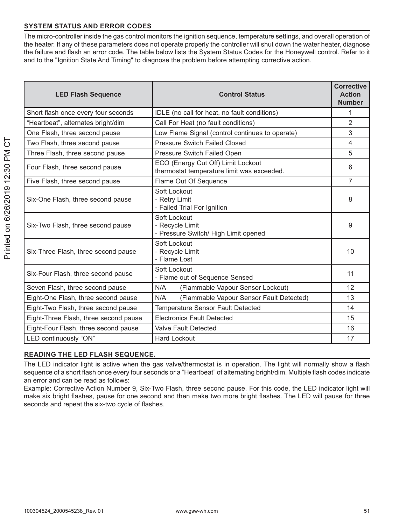#### **SYSTEM STATUS AND ERROR CODES**

The micro-controller inside the gas control monitors the ignition sequence, temperature settings, and overall operation of the heater. If any of these parameters does not operate properly the controller will shut down the water heater, diagnose the failure and flash an error code. The table below lists the System Status Codes for the Honeywell control. Refer to it and to the "Ignition State And Timing" to diagnose the problem before attempting corrective action.

| <b>LED Flash Sequence</b>             | <b>Control Status</b>                                                            | <b>Corrective</b><br><b>Action</b><br><b>Number</b> |
|---------------------------------------|----------------------------------------------------------------------------------|-----------------------------------------------------|
| Short flash once every four seconds   | IDLE (no call for heat, no fault conditions)                                     | $\mathbf{1}$                                        |
| "Heartbeat", alternates bright/dim    | Call For Heat (no fault conditions)                                              | $\overline{2}$                                      |
| One Flash, three second pause         | Low Flame Signal (control continues to operate)                                  | 3                                                   |
| Two Flash, three second pause         | <b>Pressure Switch Failed Closed</b>                                             | 4                                                   |
| Three Flash, three second pause       | Pressure Switch Failed Open                                                      | 5                                                   |
| Four Flash, three second pause        | ECO (Energy Cut Off) Limit Lockout<br>thermostat temperature limit was exceeded. | 6                                                   |
| Five Flash, three second pause        | Flame Out Of Sequence                                                            | $\overline{7}$                                      |
| Six-One Flash, three second pause     | Soft Lockout<br>- Retry Limit<br>- Failed Trial For Ignition                     | 8                                                   |
| Six-Two Flash, three second pause     | Soft Lockout<br>- Recycle Limit<br>- Pressure Switch/ High Limit opened          | 9                                                   |
| Six-Three Flash, three second pause   | Soft Lockout<br>- Recycle Limit<br>- Flame Lost                                  | 10                                                  |
| Six-Four Flash, three second pause    | Soft Lockout<br>- Flame out of Sequence Sensed                                   |                                                     |
| Seven Flash, three second pause       | N/A<br>(Flammable Vapour Sensor Lockout)                                         | 12                                                  |
| Eight-One Flash, three second pause   | (Flammable Vapour Sensor Fault Detected)<br>N/A                                  | 13                                                  |
| Eight-Two Flash, three second pause   | <b>Temperature Sensor Fault Detected</b>                                         | 14                                                  |
| Eight-Three Flash, three second pause | <b>Electronics Fault Detected</b>                                                | 15                                                  |
| Eight-Four Flash, three second pause  | <b>Valve Fault Detected</b>                                                      | 16                                                  |
| LED continuously "ON"                 | <b>Hard Lockout</b>                                                              | 17                                                  |

#### **READING THE LED FLASH SEQUENCE.**

The LED indicator light is active when the gas valve/thermostat is in operation. The light will normally show a flash sequence of a short flash once every four seconds or a "Heartbeat" of alternating bright/dim. Multiple flash codes indicate an error and can be read as follows:

Example: Corrective Action Number 9, Six-Two Flash, three second pause. For this code, the LED indicator light will make six bright flashes, pause for one second and then make two more bright flashes. The LED will pause for three seconds and repeat the six-two cycle of flashes.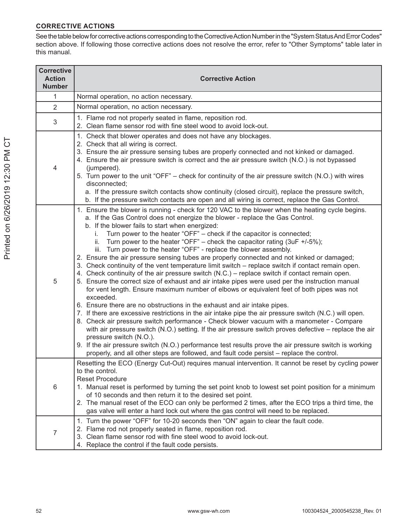#### **CORRECTIVE ACTIONS**

See the table below for corrective actions corresponding to the Corrective Action Number in the "System Status And Error Codes" section above. If following those corrective actions does not resolve the error, refer to "Other Symptoms" table later in this manual.

| <b>Corrective</b><br><b>Action</b><br><b>Number</b> | <b>Corrective Action</b>                                                                                                                                                                                                                                                                                                                                                                                                                                                                                                                                                                                                                                                                                                                                                                                                                                                                                                                                                                                                                                                                                                                                                                                                                                                                                                                                                                                                                                                                                                                                                                                                       |  |  |
|-----------------------------------------------------|--------------------------------------------------------------------------------------------------------------------------------------------------------------------------------------------------------------------------------------------------------------------------------------------------------------------------------------------------------------------------------------------------------------------------------------------------------------------------------------------------------------------------------------------------------------------------------------------------------------------------------------------------------------------------------------------------------------------------------------------------------------------------------------------------------------------------------------------------------------------------------------------------------------------------------------------------------------------------------------------------------------------------------------------------------------------------------------------------------------------------------------------------------------------------------------------------------------------------------------------------------------------------------------------------------------------------------------------------------------------------------------------------------------------------------------------------------------------------------------------------------------------------------------------------------------------------------------------------------------------------------|--|--|
| 1                                                   | Normal operation, no action necessary.                                                                                                                                                                                                                                                                                                                                                                                                                                                                                                                                                                                                                                                                                                                                                                                                                                                                                                                                                                                                                                                                                                                                                                                                                                                                                                                                                                                                                                                                                                                                                                                         |  |  |
| $\overline{2}$                                      | Normal operation, no action necessary.                                                                                                                                                                                                                                                                                                                                                                                                                                                                                                                                                                                                                                                                                                                                                                                                                                                                                                                                                                                                                                                                                                                                                                                                                                                                                                                                                                                                                                                                                                                                                                                         |  |  |
| $\mathbf{3}$                                        | 1. Flame rod not properly seated in flame, reposition rod.<br>2. Clean flame sensor rod with fine steel wood to avoid lock-out.                                                                                                                                                                                                                                                                                                                                                                                                                                                                                                                                                                                                                                                                                                                                                                                                                                                                                                                                                                                                                                                                                                                                                                                                                                                                                                                                                                                                                                                                                                |  |  |
| 4                                                   | 1. Check that blower operates and does not have any blockages.<br>2. Check that all wiring is correct.<br>3. Ensure the air pressure sensing tubes are properly connected and not kinked or damaged.<br>4. Ensure the air pressure switch is correct and the air pressure switch (N.O.) is not bypassed<br>(jumpered).<br>5. Turn power to the unit "OFF" – check for continuity of the air pressure switch (N.O.) with wires<br>disconnected;<br>a. If the pressure switch contacts show continuity (closed circuit), replace the pressure switch,<br>b. If the pressure switch contacts are open and all wiring is correct, replace the Gas Control.                                                                                                                                                                                                                                                                                                                                                                                                                                                                                                                                                                                                                                                                                                                                                                                                                                                                                                                                                                         |  |  |
| 5                                                   | 1. Ensure the blower is running - check for 120 VAC to the blower when the heating cycle begins.<br>a. If the Gas Control does not energize the blower - replace the Gas Control.<br>b. If the blower fails to start when energized:<br>Turn power to the heater "OFF" - check if the capacitor is connected;<br>i.<br>Turn power to the heater "OFF" - check the capacitor rating (3uF +/-5%);<br>ii.<br>iii. Turn power to the heater "OFF" - replace the blower assembly.<br>2. Ensure the air pressure sensing tubes are properly connected and not kinked or damaged;<br>3. Check continuity of the vent temperature limit switch – replace switch if contact remain open.<br>4. Check continuity of the air pressure switch (N.C.) – replace switch if contact remain open.<br>5. Ensure the correct size of exhaust and air intake pipes were used per the instruction manual<br>for vent length. Ensure maximum number of elbows or equivalent feet of both pipes was not<br>exceeded.<br>6. Ensure there are no obstructions in the exhaust and air intake pipes.<br>7. If there are excessive restrictions in the air intake pipe the air pressure switch (N.C.) will open.<br>8. Check air pressure switch performance - Check blower vacuum with a manometer - Compare<br>with air pressure switch (N.O.) setting. If the air pressure switch proves defective – replace the air<br>pressure switch (N.O.).<br>9. If the air pressure switch (N.O.) performance test results prove the air pressure switch is working<br>properly, and all other steps are followed, and fault code persist – replace the control. |  |  |
| 6                                                   | Resetting the ECO (Energy Cut-Out) requires manual intervention. It cannot be reset by cycling power<br>to the control.<br><b>Reset Procedure</b><br>1. Manual reset is performed by turning the set point knob to lowest set point position for a minimum<br>of 10 seconds and then return it to the desired set point.<br>2. The manual reset of the ECO can only be performed 2 times, after the ECO trips a third time, the<br>gas valve will enter a hard lock out where the gas control will need to be replaced.                                                                                                                                                                                                                                                                                                                                                                                                                                                                                                                                                                                                                                                                                                                                                                                                                                                                                                                                                                                                                                                                                                        |  |  |
| $\overline{7}$                                      | 1. Turn the power "OFF" for 10-20 seconds then "ON" again to clear the fault code.<br>2. Flame rod not properly seated in flame, reposition rod.<br>3. Clean flame sensor rod with fine steel wood to avoid lock-out.<br>4. Replace the control if the fault code persists.                                                                                                                                                                                                                                                                                                                                                                                                                                                                                                                                                                                                                                                                                                                                                                                                                                                                                                                                                                                                                                                                                                                                                                                                                                                                                                                                                    |  |  |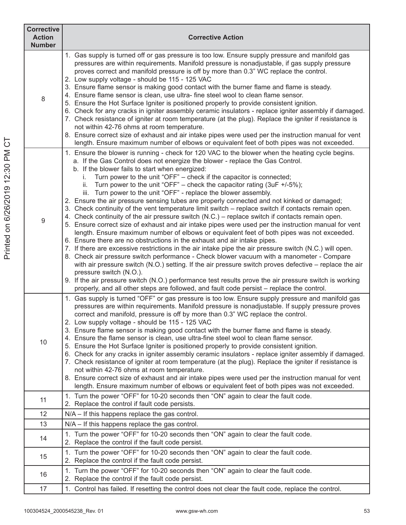| <b>Corrective</b><br><b>Action</b><br><b>Number</b> | <b>Corrective Action</b>                                                                                                                                                                                                                                                                                                                                                                                                                                                                                                                                                                                                                                                                                                                                                                                                                                                                                                                                                                                                                                                                                                                                                                                                                                                                                                                                                                                                                                                                                                                                                                                         |
|-----------------------------------------------------|------------------------------------------------------------------------------------------------------------------------------------------------------------------------------------------------------------------------------------------------------------------------------------------------------------------------------------------------------------------------------------------------------------------------------------------------------------------------------------------------------------------------------------------------------------------------------------------------------------------------------------------------------------------------------------------------------------------------------------------------------------------------------------------------------------------------------------------------------------------------------------------------------------------------------------------------------------------------------------------------------------------------------------------------------------------------------------------------------------------------------------------------------------------------------------------------------------------------------------------------------------------------------------------------------------------------------------------------------------------------------------------------------------------------------------------------------------------------------------------------------------------------------------------------------------------------------------------------------------------|
| 8                                                   | 1. Gas supply is turned off or gas pressure is too low. Ensure supply pressure and manifold gas<br>pressures are within requirements. Manifold pressure is nonadjustable, if gas supply pressure<br>proves correct and manifold pressure is off by more than 0.3" WC replace the control.<br>2. Low supply voltage - should be 115 - 125 VAC<br>3. Ensure flame sensor is making good contact with the burner flame and flame is steady.<br>4. Ensure flame sensor is clean, use ultra-fine steel wool to clean flame sensor.<br>5. Ensure the Hot Surface Igniter is positioned properly to provide consistent ignition.<br>6. Check for any cracks in igniter assembly ceramic insulators - replace igniter assembly if damaged.<br>7. Check resistance of igniter at room temperature (at the plug). Replace the igniter if resistance is<br>not within 42-76 ohms at room temperature.<br>8. Ensure correct size of exhaust and air intake pipes were used per the instruction manual for vent<br>length. Ensure maximum number of elbows or equivalent feet of both pipes was not exceeded.                                                                                                                                                                                                                                                                                                                                                                                                                                                                                                                 |
| $\overline{9}$                                      | 1. Ensure the blower is running - check for 120 VAC to the blower when the heating cycle begins.<br>a. If the Gas Control does not energize the blower - replace the Gas Control.<br>b. If the blower fails to start when energized:<br>Turn power to the unit "OFF" - check if the capacitor is connected;<br>i.<br>ii. Turn power to the unit "OFF" - check the capacitor rating (3uF +/-5%);<br>iii. Turn power to the unit "OFF" - replace the blower assembly.<br>2. Ensure the air pressure sensing tubes are properly connected and not kinked or damaged;<br>3. Check continuity of the vent temperature limit switch – replace switch if contacts remain open.<br>4. Check continuity of the air pressure switch (N.C.) – replace switch if contacts remain open.<br>5. Ensure correct size of exhaust and air intake pipes were used per the instruction manual for vent<br>length. Ensure maximum number of elbows or equivalent feet of both pipes was not exceeded.<br>6. Ensure there are no obstructions in the exhaust and air intake pipes.<br>7. If there are excessive restrictions in the air intake pipe the air pressure switch (N.C.) will open.<br>8. Check air pressure switch performance - Check blower vacuum with a manometer - Compare<br>with air pressure switch (N.O.) setting. If the air pressure switch proves defective - replace the air<br>pressure switch (N.O.).<br>9. If the air pressure switch (N.O.) performance test results prove the air pressure switch is working<br>properly, and all other steps are followed, and fault code persist - replace the control. |
| 10                                                  | 1. Gas supply is turned "OFF" or gas pressure is too low. Ensure supply pressure and manifold gas<br>pressures are within requirements. Manifold pressure is nonadjustable. If supply pressure proves<br>correct and manifold, pressure is off by more than 0.3" WC replace the control.<br>2. Low supply voltage - should be 115 - 125 VAC<br>3. Ensure flame sensor is making good contact with the burner flame and flame is steady.<br>4. Ensure the flame sensor is clean, use ultra-fine steel wool to clean flame sensor.<br>5. Ensure the Hot Surface Igniter is positioned properly to provide consistent ignition.<br>6. Check for any cracks in igniter assembly ceramic insulators - replace igniter assembly if damaged.<br>7. Check resistance of igniter at room temperature (at the plug). Replace the igniter if resistance is<br>not within 42-76 ohms at room temperature.<br>8. Ensure correct size of exhaust and air intake pipes were used per the instruction manual for vent<br>length. Ensure maximum number of elbows or equivalent feet of both pipes was not exceeded.                                                                                                                                                                                                                                                                                                                                                                                                                                                                                                              |
| 11                                                  | 1. Turn the power "OFF" for 10-20 seconds then "ON" again to clear the fault code.<br>2. Replace the control if fault code persists.                                                                                                                                                                                                                                                                                                                                                                                                                                                                                                                                                                                                                                                                                                                                                                                                                                                                                                                                                                                                                                                                                                                                                                                                                                                                                                                                                                                                                                                                             |
| 12                                                  | $N/A - If this happens replace the gas control.$                                                                                                                                                                                                                                                                                                                                                                                                                                                                                                                                                                                                                                                                                                                                                                                                                                                                                                                                                                                                                                                                                                                                                                                                                                                                                                                                                                                                                                                                                                                                                                 |
| 13                                                  | $N/A - If this happens replace the gas control.$                                                                                                                                                                                                                                                                                                                                                                                                                                                                                                                                                                                                                                                                                                                                                                                                                                                                                                                                                                                                                                                                                                                                                                                                                                                                                                                                                                                                                                                                                                                                                                 |
| 14                                                  | 1. Turn the power "OFF" for 10-20 seconds then "ON" again to clear the fault code.<br>2. Replace the control if the fault code persist.                                                                                                                                                                                                                                                                                                                                                                                                                                                                                                                                                                                                                                                                                                                                                                                                                                                                                                                                                                                                                                                                                                                                                                                                                                                                                                                                                                                                                                                                          |
| 15                                                  | 1. Turn the power "OFF" for 10-20 seconds then "ON" again to clear the fault code.<br>2. Replace the control if the fault code persist.                                                                                                                                                                                                                                                                                                                                                                                                                                                                                                                                                                                                                                                                                                                                                                                                                                                                                                                                                                                                                                                                                                                                                                                                                                                                                                                                                                                                                                                                          |
| 16                                                  | 1. Turn the power "OFF" for 10-20 seconds then "ON" again to clear the fault code.<br>2. Replace the control if the fault code persist.                                                                                                                                                                                                                                                                                                                                                                                                                                                                                                                                                                                                                                                                                                                                                                                                                                                                                                                                                                                                                                                                                                                                                                                                                                                                                                                                                                                                                                                                          |
| 17                                                  | 1. Control has failed. If resetting the control does not clear the fault code, replace the control.                                                                                                                                                                                                                                                                                                                                                                                                                                                                                                                                                                                                                                                                                                                                                                                                                                                                                                                                                                                                                                                                                                                                                                                                                                                                                                                                                                                                                                                                                                              |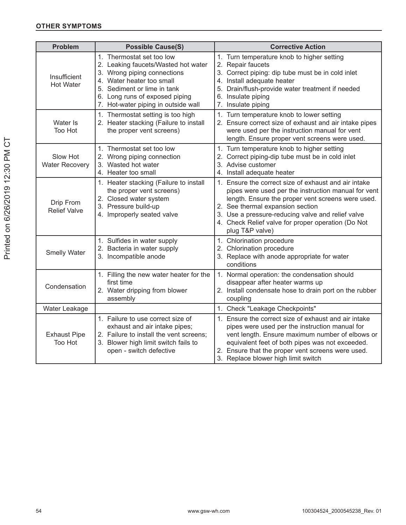#### **OTHER SYMPTOMS**

| <b>Problem</b>                    | <b>Possible Cause(S)</b>                                                                                                                                                                                                             | <b>Corrective Action</b>                                                                                                                                                                                                                                                                                                           |
|-----------------------------------|--------------------------------------------------------------------------------------------------------------------------------------------------------------------------------------------------------------------------------------|------------------------------------------------------------------------------------------------------------------------------------------------------------------------------------------------------------------------------------------------------------------------------------------------------------------------------------|
| Insufficient<br><b>Hot Water</b>  | 1. Thermostat set too low<br>2. Leaking faucets/Wasted hot water<br>3. Wrong piping connections<br>4. Water heater too small<br>5. Sediment or lime in tank<br>6. Long runs of exposed piping<br>7. Hot-water piping in outside wall | 1. Turn temperature knob to higher setting<br>2. Repair faucets<br>3. Correct piping: dip tube must be in cold inlet<br>4. Install adequate heater<br>5. Drain/flush-provide water treatment if needed<br>6. Insulate piping<br>7. Insulate piping                                                                                 |
| Water Is<br>Too Hot               | 1. Thermostat setting is too high<br>2. Heater stacking (Failure to install<br>the proper vent screens)                                                                                                                              | 1. Turn temperature knob to lower setting<br>2. Ensure correct size of exhaust and air intake pipes<br>were used per the instruction manual for vent<br>length. Ensure proper vent screens were used.                                                                                                                              |
| Slow Hot<br><b>Water Recovery</b> | 1. Thermostat set too low<br>2. Wrong piping connection<br>3. Wasted hot water<br>4. Heater too small                                                                                                                                | 1. Turn temperature knob to higher setting<br>2. Correct piping-dip tube must be in cold inlet<br>3. Advise customer<br>4. Install adequate heater                                                                                                                                                                                 |
| Drip From<br><b>Relief Valve</b>  | 1. Heater stacking (Failure to install<br>the proper vent screens)<br>2. Closed water system<br>3. Pressure build-up<br>4. Improperly seated valve                                                                                   | 1. Ensure the correct size of exhaust and air intake<br>pipes were used per the instruction manual for vent<br>length. Ensure the proper vent screens were used.<br>2. See thermal expansion section<br>3. Use a pressure-reducing valve and relief valve<br>4. Check Relief valve for proper operation (Do Not<br>plug T&P valve) |
| <b>Smelly Water</b>               | 1. Sulfides in water supply<br>2. Bacteria in water supply<br>3. Incompatible anode                                                                                                                                                  | 1. Chlorination procedure<br>2. Chlorination procedure<br>3. Replace with anode appropriate for water<br>conditions                                                                                                                                                                                                                |
| Condensation                      | 1. Filling the new water heater for the<br>first time<br>2. Water dripping from blower<br>assembly                                                                                                                                   | 1. Normal operation: the condensation should<br>disappear after heater warms up<br>2. Install condensate hose to drain port on the rubber<br>coupling                                                                                                                                                                              |
| Water Leakage                     |                                                                                                                                                                                                                                      | 1. Check "Leakage Checkpoints"                                                                                                                                                                                                                                                                                                     |
| <b>Exhaust Pipe</b><br>Too Hot    | 1. Failure to use correct size of<br>exhaust and air intake pipes;<br>2. Failure to install the vent screens;<br>3. Blower high limit switch fails to<br>open - switch defective                                                     | 1. Ensure the correct size of exhaust and air intake<br>pipes were used per the instruction manual for<br>vent length. Ensure maximum number of elbows or<br>equivalent feet of both pipes was not exceeded.<br>2. Ensure that the proper vent screens were used.<br>3. Replace blower high limit switch                           |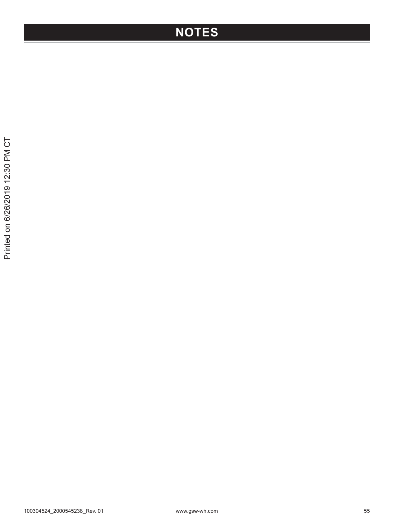### **NOTES**